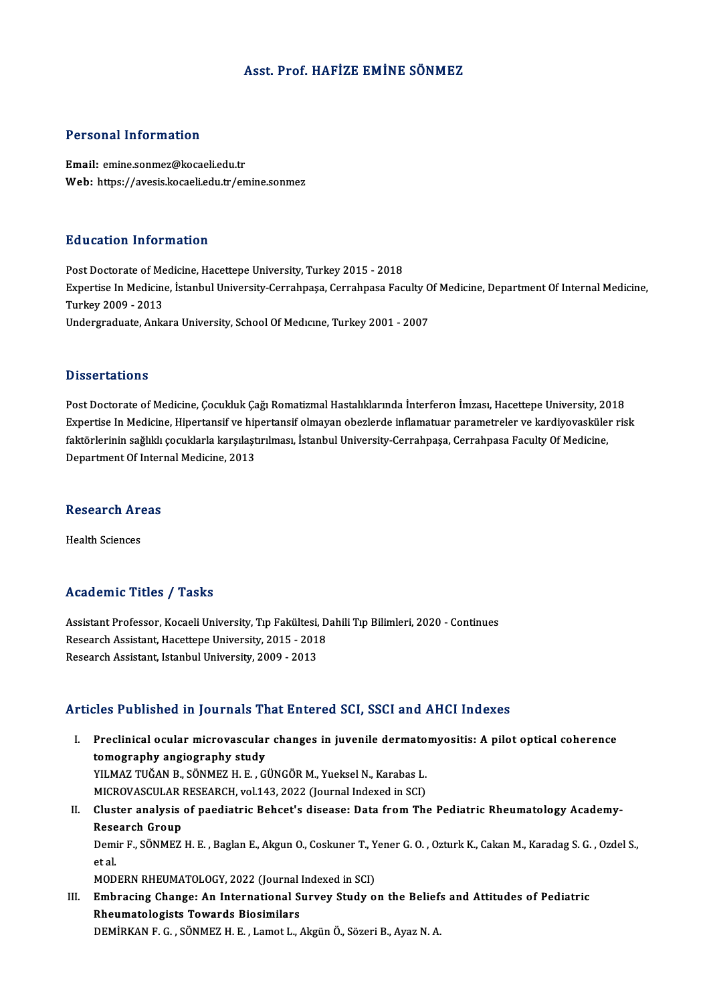### Asst. Prof.HAFİZE EMİNE SÖNMEZ

### Personal Information

Email: emine.sonmez@kocaeli.edu.tr Web: https://avesis.kocaeli.edu.tr/emine.sonmez

### Education Information

Education Information<br>Post Doctorate of Medicine, Hacettepe University, Turkey 2015 - 2018<br>Expertise In Medicine, Istanbul University Cerrahnese Cerrahnese Fas Expertise In Medicine, İstanbul University-Cerrahpaşa, Cerrahpasa Faculty Of Medicine, Department Of Internal Medicine,<br>Turkey 2009 - 2013 Post Doctorate of Me<br>Expertise In Medicine<br>Turkey 2009 - 2013<br>Undergreduate Anks Undergraduate, Ankara University, School Of Medicine, Turkey 2001 - 2007

### **Dissertations**

Post Doctorate of Medicine, Çocukluk Çağı Romatizmal Hastalıklarında İnterferon İmzası, Hacettepe University, 2018 Expert tation.<br>Post Doctorate of Medicine, Çocukluk Çağı Romatizmal Hastalıklarında İnterferon İmzası, Hacettepe University, 2018<br>Expertise In Medicine, Hipertansif ve hipertansif olmayan obezlerde inflamatuar parametreler Post Doctorate of Medicine, Çocukluk Çağı Romatizmal Hastalıklarında İnterferon İmzası, Hacettepe University, 20<br>Expertise In Medicine, Hipertansif ve hipertansif olmayan obezlerde inflamatuar parametreler ve kardiyovaskül Expertise In Medicine, Hipertansif ve hip<br>faktörlerinin sağlıklı çocuklarla karşılaşt<br>Department Of Internal Medicine, 2013

# Department Of Inter<br>Research Areas R<mark>esearch Ar</mark><br>Health Sciences

# Academic Titles / Tasks

Academic Titles / Tasks<br>Assistant Professor, Kocaeli University, Tıp Fakültesi, Dahili Tıp Bilimleri, 2020 - Continues<br>Researsh Assistant, Hassitane University, 2015 - 2019 Research Assistant Professor, Kocaeli University, Tıp Fakültesi, D<br>Research Assistant, Hacettepe University, 2015 - 2018<br>Research Assistant, Istanbul University, 2009 - 2013 Research Assistant, Hacettepe University, 2015 - 2018<br>Research Assistant, Istanbul University, 2009 - 2013

### Articles Published in Journals That Entered SCI, SSCI and AHCI Indexes

rticles Published in Journals That Entered SCI, SSCI and AHCI Indexes<br>I. Preclinical ocular microvascular changes in juvenile dermatomyositis: A pilot optical coherence<br>tomography angiography study The clinical ocular microvascular<br>tomography angiography study<br>VII MAZ THČAN B. SÖNMEZ H. F. C. Preclinical ocular microvascular changes in juvenile dermato<br>tomography angiography study<br>YILMAZ TUĞAN B., SÖNMEZ H. E. , GÜNGÖR M., Yueksel N., Karabas L.<br>MICPOVASCULAR RESEARCH vol 142-2022 (Jaurnal Indoved in SCL) tomography angiography study<br>YILMAZ TUĞAN B., SÖNMEZ H. E. , GÜNGÖR M., Yueksel N., Karabas L.<br>MICROVASCULAR RESEARCH, vol.143, 2022 (Journal Indexed in SCI)<br>Cluster anglysis of poediatris Bebest's disease: Date from The MICROVASCULAR RESEARCH, vol.143, 2022 (Journal Indexed in SCI)

II. Cluster analysis of paediatric Behcet's disease: Data from The Pediatric Rheumatology Academy-<br>Research Group Cluster analysis of paediatric Behcet's disease: Data from The Pediatric Rheumatology Academy-<br>Research Group<br>Demir F., SÖNMEZ H. E. , Baglan E., Akgun O., Coskuner T., Yener G. O. , Ozturk K., Cakan M., Karadag S. G. , Oz Rese<br>Demi<br>et al.<br>MOD Demir F., SÖNMEZ H. E. , Baglan E., Akgun O., Coskuner T., Y<br>et al.<br>MODERN RHEUMATOLOGY, 2022 (Journal Indexed in SCI)<br>Embrasing Change: An International Survey Study o

MODERN RHEUMATOLOGY, 2022 (Journal Indexed in SCI)

et al.<br>MODERN RHEUMATOLOGY, 2022 (Journal Indexed in SCI)<br>III. Embracing Change: An International Survey Study on the Beliefs and Attitudes of Pediatric<br>Rheumatologists Towards Biosimilars DEMİRKAN F. G., SÖNMEZH.E., Lamot L., Akgün Ö., Sözeri B., Ayaz N. A.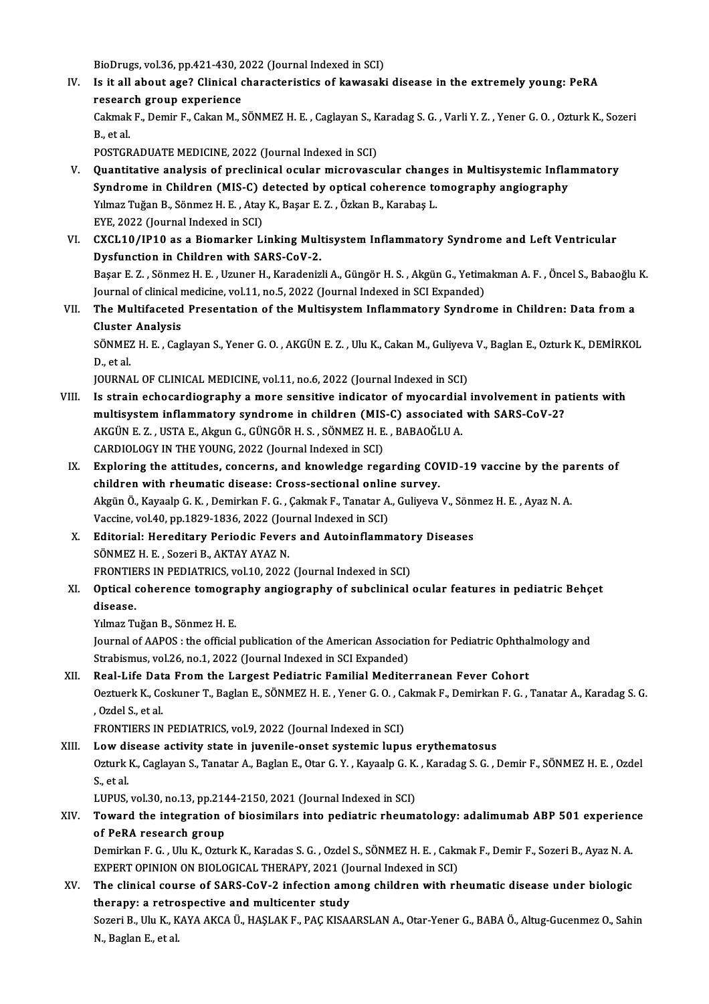BioDrugs, vol.36, pp.421-430, 2022 (Journal Indexed in SCI)<br>Is it all about age? Clinical share staristics of Itawasaki

IV. Is it all about age? Clinical characteristics of kawasaki disease in the extremely young: PeRA research group experience BioDrugs, vol.36, pp.421-430, 2<br>Is it all about age? Clinical c<br>research group experience Is it all about age? Clinical characteristics of kawasaki disease in the extremely young: PeRA<br>research group experience<br>Cakmak F., Demir F., Cakan M., SÖNMEZ H. E. , Caglayan S., Karadag S. G. , Varli Y. Z. , Yener G. O. researd<br>Cakmak<br>B., et al.<br>POSTCP Cakmak F., Demir F., Cakan M., SÖNMEZ H. E. , Caglayan S., K<br>B., et al.<br>POSTGRADUATE MEDICINE, 2022 (Journal Indexed in SCI)<br>Quantitative analysis of proclinical ocular microvasc

- B., et al.<br>POSTGRADUATE MEDICINE, 2022 (Journal Indexed in SCI)<br>V. Quantitative analysis of preclinical ocular microvascular changes in Multisystemic Inflammatory<br>Syndrome in Children (MISC) detected by entical seberance t POSTGRADUATE MEDICINE, 2022 (Journal Indexed in SCI)<br>Quantitative analysis of preclinical ocular microvascular changes in Multisystemic Infla<br>Syndrome in Children (MIS-C) detected by optical coherence tomography angiograph Quantitative analysis of preclinical ocular microvascular chang.<br>Syndrome in Children (MIS-C) detected by optical coherence to<br>Yılmaz Tuğan B., Sönmez H. E. , Atay K., Başar E. Z. , Özkan B., Karabaş L.<br>EVE 2022 (Journal I Syndrome in Children (MIS-C)<br>Yılmaz Tuğan B., Sönmez H. E. , Atay<br>EYE, 2022 (Journal Indexed in SCI)<br>CYCL 1.0 (JB1.0 as a Biomarkar Li Yılmaz Tuğan B., Sönmez H. E. , Atay K., Başar E. Z. , Özkan B., Karabaş L.<br>EYE, 2022 (Journal Indexed in SCI)<br>VI. CXCL10/IP10 as a Biomarker Linking Multisystem Inflammatory Syndrome and Left Ventricular<br>Dygfungtion in Ch
- EYE, 2022 (Journal Indexed in SCI)<br>CXCL10/IP10 as a Biomarker Linking Mult<br>Dysfunction in Children with SARS-CoV-2.<br>Pasar E.Z., Sönmar H.E., Umnar H. Karadaniz CXCL10/IP10 as a Biomarker Linking Multisystem Inflammatory Syndrome and Left Ventricular<br>Dysfunction in Children with SARS-CoV-2.<br>Başar E. Z. , Sönmez H. E. , Uzuner H., Karadenizli A., Güngör H. S. , Akgün G., Yetimakman Dysfunction in Children with SARS-CoV-2.<br>Başar E. Z. , Sönmez H. E. , Uzuner H., Karadenizli A., Güngör H. S. , Akgün G., Yetim.<br>Journal of clinical medicine, vol.11, no.5, 2022 (Journal Indexed in SCI Expanded)<br>The Multif Başar E. Z. , Sönmez H. E. , Uzuner H., Karadenizli A., Güngör H. S. , Akgün G., Yetimakman A. F. , Öncel S., Babaoğlu K.<br>Journal of clinical medicine, vol.11, no.5, 2022 (Journal Indexed in SCI Expanded)<br>VII. The Multifac Journal of clinical r<br>The Multifaceted<br>Cluster Analysis<br>SÖNME7 H E Cog

The Multifaceted Presentation of the Multisystem Inflammatory Syndrome in Children: Data from a<br>Cluster Analysis<br>SÖNMEZ H. E. , Caglayan S., Yener G. O. , AKGÜN E. Z. , Ulu K., Cakan M., Guliyeva V., Baglan E., Ozturk K., Cluster<br>SÖNMEZ<br>D., et al.<br>JOUPNA SÖNMEZ H. E. , Caglayan S., Yener G. O. , AKGÜN E. Z. , Ulu K., Cakan M., Guliyeva<br>D., et al.<br>JOURNAL OF CLINICAL MEDICINE, vol.11, no.6, 2022 (Journal Indexed in SCI)<br>Is etnain esbesendiesmanky e mane sensitive indisator

- D., et al.<br>JOURNAL OF CLINICAL MEDICINE, vol.11, no.6, 2022 (Journal Indexed in SCI)<br>VIII. Is strain echocardiography a more sensitive indicator of myocardial involvement in patients with<br>multisystem inflammatery syndrome JOURNAL OF CLINICAL MEDICINE, vol.11, no.6, 2022 (Journal Indexed in SCI)<br>Is strain echocardiography a more sensitive indicator of myocardial involvement in pa<br>multisystem inflammatory syndrome in children (MIS-C) associat Is strain echocardiography a more sensitive indicator of myocardia<br>multisystem inflammatory syndrome in children (MIS-C) associated<br>AKGÜN E. Z. , USTA E., Akgun G., GÜNGÖR H. S. , SÖNMEZ H. E. , BABAOĞLU A.<br>CARDIOLOCY IN T multisystem inflammatory syndrome in children (MIS-C) associated with SARS-CoV-2?<br>AKGÜN E. Z. , USTA E., Akgun G., GÜNGÖR H. S. , SÖNMEZ H. E. , BABAOĞLU A.<br>CARDIOLOGY IN THE YOUNG, 2022 (Journal Indexed in SCI) AKGÜN E. Z. , USTA E., Akgun G., GÜNGÖR H. S. , SÖNMEZ H. E. , BABAOĞLU A.<br>CARDIOLOGY IN THE YOUNG, 2022 (Journal Indexed in SCI)<br>IX. Exploring the attitudes, concerns, and knowledge regarding COVID-19 vaccine by the paren
- CARDIOLOGY IN THE YOUNG, 2022 (Journal Indexed in SCI)<br>Exploring the attitudes, concerns, and knowledge regarding CO'<br>children with rheumatic disease: Cross-sectional online survey.<br>Akgün Ö. Kaysala C. K., Dominkan E.C., C Exploring the attitudes, concerns, and knowledge regarding COVID-19 vaccine by the pa<br>children with rheumatic disease: Cross-sectional online survey.<br>Akgün Ö., Kayaalp G. K. , Demirkan F. G. , Çakmak F., Tanatar A., Guliye children with rheumatic disease: Cross-sectional online survey.<br>Akgün Ö., Kayaalp G. K. , Demirkan F. G. , Çakmak F., Tanatar A., Guliyeva V., Sönmez H. E. , Ayaz N. A.<br>Vaccine, vol.40, pp.1829-1836, 2022 (Journal Indexed Akgün Ö., Kayaalp G. K. , Demirkan F. G. , Çakmak F., Tanatar A., Guliyeva V., Söni<br>Vaccine, vol.40, pp.1829-1836, 2022 (Journal Indexed in SCI)<br>X. Editorial: Hereditary Periodic Fevers and Autoinflammatory Diseases<br>SÖNMEZ
- SÖNMEZ H. E., Sozeri B., AKTAY AYAZ N. Editorial: Hereditary Periodic Fevers and Autoinflammator<br>SÖNMEZ H. E. , Sozeri B., AKTAY AYAZ N.<br>FRONTIERS IN PEDIATRICS, vol.10, 2022 (Journal Indexed in SCI)<br>Ontical sabaranga tamagnanhy angiagnanhy of subelinisal
- SÖNMEZ H. E. , Sozeri B., AKTAY AYAZ N.<br>FRONTIERS IN PEDIATRICS, vol.10, 2022 (Journal Indexed in SCI)<br>XI. Optical coherence tomography angiography of subclinical ocular features in pediatric Behçet<br>disease. FRONTIERS IN PEDIATRICS, vol.10, 2022 (Journal Indexed in SCI)<br>Optical coherence tomography angiography of subclinical<br>disease.<br>Yılmaz Tuğan B., Sönmez H. E. **Optical coherence tomogra<br>disease.<br>Yılmaz Tuğan B., Sönmez H. E.**<br>Journal of AAPOS : the official

disease.<br>Yılmaz Tuğan B., Sönmez H. E.<br>Journal of AAPOS : the official publication of the American Association for Pediatric Ophthalmology and<br>Strebismus vel 36, no.1, 2022 (Journal Indeved in SCI Eunanded). Yılmaz Tuğan B., Sönmez H. E.<br>Journal of AAPOS : the official publication of the American Associa<br>Strabismus, vol.26, no.1, 2022 (Journal Indexed in SCI Expanded)<br>Posl. Life Data Fram the Largest Pediatric Femilial Mediter Journal of AAPOS : the official publication of the American Association for Pediatric Ophtha<br>Strabismus, vol.26, no.1, 2022 (Journal Indexed in SCI Expanded)<br>XII. Real-Life Data From the Largest Pediatric Familial Mediterr

### Strabismus, vol.26, no.1, 2022 (Journal Indexed in SCI Expanded)<br>Real-Life Data From the Largest Pediatric Familial Mediterranean Fever Cohort<br>Oeztuerk K., Coskuner T., Baglan E., SÖNMEZ H. E. , Yener G. O. , Cakmak F., De Real-Life Dat<br>Oeztuerk K., Co<br>, Ozdel S., et al.<br>EPONTIEPS IN Oeztuerk K., Coskuner T., Baglan E., SÖNMEZ H. E. , Yener G. O. , C.<br>, Ozdel S., et al.<br>FRONTIERS IN PEDIATRICS, vol.9, 2022 (Journal Indexed in SCI)<br>Low disease astivity state in invenile enset systemis lunu , Ozdel S., et al.<br>FRONTIERS IN PEDIATRICS, vol.9, 2022 (Journal Indexed in SCI)<br>XIII. Low disease activity state in juvenile-onset systemic lupus erythematosus

FRONTIERS IN PEDIATRICS, vol.9, 2022 (Journal Indexed in SCI)<br>Low disease activity state in juvenile-onset systemic lupus erythematosus<br>Ozturk K., Caglayan S., Tanatar A., Baglan E., Otar G. Y. , Kayaalp G. K. , Karadag S. Low di<br>Ozturk<br>S., et al.<br>LUDUS Ozturk K., Caglayan S., Tanatar A., Baglan E., Otar G. Y. , Kayaalp G. K.<br>S., et al.<br>LUPUS, vol.30, no.13, pp.2144-2150, 2021 (Journal Indexed in SCI)<br>Toward the integration of biosimilers inte nediatris rheum:

### S., et al.<br>LUPUS, vol.30, no.13, pp.2144-2150, 2021 (Journal Indexed in SCI)<br>XIV. Toward the integration of biosimilars into pediatric rheumatology: adalimumab ABP 501 experience<br>of BoBA research group LUPUS, vol.30, no.13, pp.214<br>Toward the integration cof PeRA research group Toward the integration of biosimilars into pediatric rheumatology: adalimumab ABP 501 experienc<br>of PeRA research group<br>Demirkan F. G. , Ulu K., Ozturk K., Karadas S. G. , Ozdel S., SÖNMEZ H. E. , Cakmak F., Demir F., Sozer

of PeRA research group<br>Demirkan F. G. , Ulu K., Ozturk K., Karadas S. G. , Ozdel S., SÖNMEZ H. E. , Cakn<br>EXPERT OPINION ON BIOLOGICAL THERAPY, 2021 (Journal Indexed in SCI)<br>The clinical course of SARS CoV. 2 infection amon Demirkan F. G. , Ulu K., Ozturk K., Karadas S. G. , Ozdel S., SÖNMEZ H. E. , Cakmak F., Demir F., Sozeri B., Ayaz N. A.<br>EXPERT OPINION ON BIOLOGICAL THERAPY, 2021 (Journal Indexed in SCI)<br>XV. The clinical course of SARS-Co

## EXPERT OPINION ON BIOLOGICAL THERAPY, 2021 (Journal Indexed in SCI)<br>The clinical course of SARS-CoV-2 infection among children with rh<br>therapy: a retrospective and multicenter study The clinical course of SARS-CoV-2 infection among children with rheumatic disease under biologic<br>therapy: a retrospective and multicenter study<br>Sozeri B., Ulu K., KAYA AKCA Ü., HAŞLAK F., PAÇ KISAARSLAN A., Otar-Yener G.,

Sozeri B., Ulu K., KAYA AKCA Ü., HAŞLAK F., PAÇ KISAARSLAN A., Otar-Yener G., BABA Ö., Altug-Gucenmez O., Sahin<br>N., Baglan E., et al.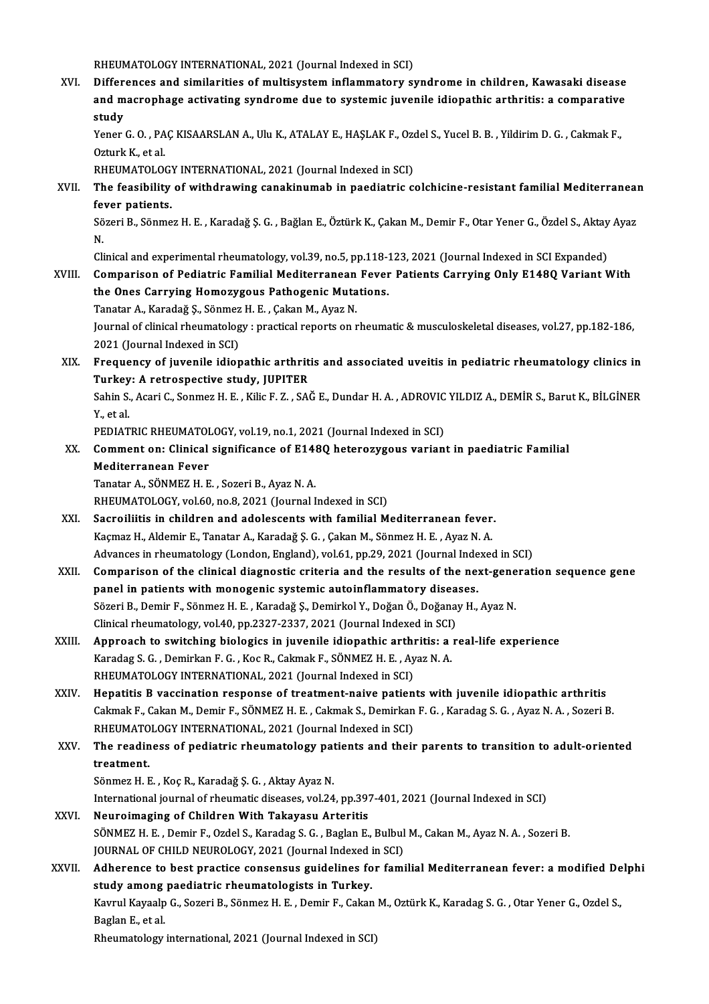RHEUMATOLOGY INTERNATIONAL, 2021 (Journal Indexed in SCI)

XVI. Differences and similarities ofmultisysteminflammatory syndrome in children, Kawasaki disease RHEUMATOLOGY INTERNATIONAL, 2021 (Journal Indexed in SCI)<br>Differences and similarities of multisystem inflammatory syndrome in children, Kawasaki disease<br>and macrophage activating syndrome due to systemic juvenile idiopath Differ<br>and m<br>study<br><sup>Vonor</sup> and macrophage activating syndrome due to systemic juvenile idiopathic arthritis: a comparative<br>study<br>Yener G. O. , PAÇ KISAARSLAN A., Ulu K., ATALAY E., HAŞLAK F., Ozdel S., Yucel B. B. , Yildirim D. G. , Cakmak F.,<br>Oztur

**study<br>Yener G. O. , PA<br>Ozturk K., et al.<br>RHEUMATOLOG** Yener G. O. , PAÇ KISAARSLAN A., Ulu K., ATALAY E., HAŞLAK F., Ozondurk K., et al.<br>Ozturk K., et al.<br>RHEUMATOLOGY INTERNATIONAL, 2021 (Journal Indexed in SCI)<br>The feasibility of withdrawing sanakinumab in naediatric s

RHEUMATOLOGY INTERNATIONAL, 2021 (Journal Indexed in SCI)

Ozturk K., et al.<br>RHEUMATOLOGY INTERNATIONAL, 2021 (Journal Indexed in SCI)<br>XVII. The feasibility of withdrawing canakinumab in paediatric colchicine-resistant familial Mediterranean<br>fever patients. The feasibility of withdrawing canakinumab in paediatric colchicine-resistant familial Mediterraneaı<br>fever patients.<br>Sözeri B., Sönmez H. E. , Karadağ Ş. G. , Bağlan E., Öztürk K., Çakan M., Demir F., Otar Yener G., Özdel

fe<br>Sö<br>N. Sözeri B., Sönmez H. E. , Karadağ Ş. G. , Bağlan E., Öztürk K., Çakan M., Demir F., Otar Yener G., Özdel S., Aktay<br>N.<br>Clinical and experimental rheumatology, vol.39, no.5, pp.118-123, 2021 (Journal Indexed in SCI Expanded)

N.<br>Clinical and experimental rheumatology, vol.39, no.5, pp.118-123, 2021 (Journal Indexed in SCI Expanded)<br>XVIII. Comparison of Pediatric Familial Mediterranean Fever Patients Carrying Only E148Q Variant With

Clinical and experimental rheumatology, vol.39, no.5, pp.118-2<br>Comparison of Pediatric Familial Mediterranean Fever<br>the Ones Carrying Homozygous Pathogenic Mutations.<br>Tanstan A. Karodağ S. Sönmer H. E. Colson M. Ayaz N. Comparison of Pediatric Familial Mediterranean<br>the Ones Carrying Homozygous Pathogenic Muta<br>Tanatar A., Karadağ Ş., Sönmez H. E. , Çakan M., Ayaz N.<br>Journal of clinical rhoumatelegy : nrestical reports on r Tanatar A., Karadağ Ş., Sönmez H. E., Çakan M., Ayaz N.

Journal of clinical rheumatology : practical reports on rheumatic & musculoskeletal diseases, vol.27, pp.182-186,<br>2021 (Journal Indexed in SCI)

XIX. Frequency of juvenile idiopathic arthritis and associated uveitis in pediatric rheumatology clinics in 2021 (Journal Indexed in SCI)<br>Frequency of juvenile idiopathic arthrit<br>Turkey: A retrospective study, JUPITER<br>Sebin S. Agari G. Sonmer H. E. Kilie E. Z. SAR Frequency of juvenile idiopathic arthritis and associated uveitis in pediatric rheumatology clinics in<br>Turkey: A retrospective study, JUPITER<br>Sahin S., Acari C., Sonmez H. E. , Kilic F. Z. , SAĞ E., Dundar H. A. , ADROVIC

Tur<mark>key</mark><br>Sahin S.<br>Y., et al. Sahin S., Acari C., Sonmez H. E. , Kilic F. Z. , SAĞ E., Dundar H. A. , ADROVIC<br>Y., et al.<br>PEDIATRIC RHEUMATOLOGY, vol.19, no.1, 2021 (Journal Indexed in SCI)<br>Comment on: Clinical significance of E1480 beterogygeus varian

Y., et al.<br>PEDIATRIC RHEUMATOLOGY, vol.19, no.1, 2021 (Journal Indexed in SCI)<br>XX. Comment on: Clinical significance of E148Q heterozygous variant in paediatric Familial<br>Mediterranean Foyer PEDIATRIC RHEUMATOI<br>Comment on: Clinical<br>Mediterranean Fever<br>Tanatar A SÖNMEZ U E Comment on: Clinical significance of E14;<br>Mediterranean Fever<br>Tanatar A., SÖNMEZ H. E. , Sozeri B., Ayaz N. A.<br>PHEUMATOLOCY vol 60, no 8, 2021 (Journal I

Mediterranean Fever<br>Tanatar A., SÖNMEZ H. E. , Sozeri B., Ayaz N. A.<br>RHEUMATOLOGY, vol.60, no.8, 2021 (Journal Indexed in SCI)

- Tanatar A., SÖNMEZ H. E., Sozeri B., Ayaz N. A.<br>RHEUMATOLOGY, vol.60, no.8, 2021 (Journal Indexed in SCI)<br>XXI. Sacroiliitis in children and adolescents with familial Mediterranean fever.<br>Kacroilitis in children and adolesc RHEUMATOLOGY, vol.60, no.8, 2021 (Journal Indexed in SCI)<br>Sacroiliitis in children and adolescents with familial Mediterranean fever<br>Kaçmaz H., Aldemir E., Tanatar A., Karadağ Ş. G. , Çakan M., Sönmez H. E. , Ayaz N. A.<br>Ad Sacroiliitis in children and adolescents with familial Mediterranean fever.<br>Kaçmaz H., Aldemir E., Tanatar A., Karadağ Ş. G. , Çakan M., Sönmez H. E. , Ayaz N. A.<br>Advances in rheumatology (London, England), vol.61, pp.29,
- Kaçmaz H., Aldemir E., Tanatar A., Karadağ Ş. G. , Çakan M., Sönmez H. E. , Ayaz N. A.<br>Advances in rheumatology (London, England), vol.61, pp.29, 2021 (Journal Indexed in SCI)<br>XXII. Comparison of the clinical diagnostic cr Advances in rheumatology (London, England), vol.61, pp.29, 2021 (Journal Inde<br>Comparison of the clinical diagnostic criteria and the results of the ne:<br>panel in patients with monogenic systemic autoinflammatory diseases.<br>S Comparison of the clinical diagnostic criteria and the results of the next-gene<br>panel in patients with monogenic systemic autoinflammatory diseases.<br>Sözeri B., Demir F., Sönmez H. E. , Karadağ Ş., Demirkol Y., Doğan Ö., Do panel in patients with monogenic systemic autoinflammatory disea<br>Sözeri B., Demir F., Sönmez H. E. , Karadağ Ş., Demirkol Y., Doğan Ö., Doğanağ<br>Clinical rheumatology, vol.40, pp.2327-2337, 2021 (Journal Indexed in SCI)<br>Ann Clinical rheumatology, vol.40, pp.2327-2337, 2021 (Journal Indexed in SCI)<br>XXIII. Approach to switching biologics in juvenile idiopathic arthritis: a real-life experience
- Clinical rheumatology, vol.40, pp.2327-2337, 2021 (Journal Indexed in SCI)<br>Approach to switching biologics in juvenile idiopathic arthritis: a<br>Karadag S. G. , Demirkan F. G. , Koc R., Cakmak F., SÖNMEZ H. E. , Ayaz N. A.<br>R Approach to switching biologics in juvenile idiopathic arthi<br>Karadag S. G. , Demirkan F. G. , Koc R., Cakmak F., SÖNMEZ H. E. , Ay<br>RHEUMATOLOGY INTERNATIONAL, 2021 (Journal Indexed in SCI)<br>Hapatitis B vessination response
- RHEUMATOLOGY INTERNATIONAL, 2021 (Journal Indexed in SCI)<br>XXIV. Hepatitis B vaccination response of treatment-naive patients with juvenile idiopathic arthritis RHEUMATOLOGY INTERNATIONAL, 2021 (Journal Indexed in SCI)<br>Hepatitis B vaccination response of treatment-naive patients with juvenile idiopathic arthritis<br>Cakmak F., Cakan M., Demir F., SÖNMEZ H. E. , Cakmak S., Demirkan F. Hepatitis B vaccination response of treatment-naive patien<br>Cakmak F., Cakan M., Demir F., SÖNMEZ H. E. , Cakmak S., Demirkan<br>RHEUMATOLOGY INTERNATIONAL, 2021 (Journal Indexed in SCI)<br>The readiness of podiatric rheumatology Cakmak F., Cakan M., Demir F., SÖNMEZ H. E. , Cakmak S., Demirkan F. G. , Karadag S. G. , Ayaz N. A. , Sozeri B.<br>RHEUMATOLOGY INTERNATIONAL, 2021 (Journal Indexed in SCI)<br>XXV. The readiness of pediatric rheumatology patien

## RHEUMATOLOGY INTERNATIONAL, 2021 (Journal Indexed in SCI)<br>The readiness of pediatric rheumatology patients and their parents to transition to adult-oriented<br>treatment. The readiness of pediatric rheumatology pat<br>treatment.<br>Sönmez H. E. , Koç R., Karadağ Ş. G. , Aktay Ayaz N.<br>International journal of rheumatic diseases, vol 24

- International journal of rheumatic diseases, vol.24, pp.397-401, 2021 (Journal Indexed in SCI)<br>Neuroimaging of Children With Takayasu Arteritis Sönmez H. E., Koç R., Karadağ Ş. G., Aktay Ayaz N.<br>International journal of rheumatic diseases, vol.24, pp.39;<br>XXVI. Neuroimaging of Children With Takayasu Arteritis International journal of rheumatic diseases, vol.24, pp.397-401, 2021 (Journal Indexed in SCI)<br>Neuroimaging of Children With Takayasu Arteritis<br>SÖNMEZ H. E. , Demir F., Ozdel S., Karadag S. G. , Baglan E., Bulbul M., Cakan Neuroimaging of Children With Takayasu Arteritis<br>SÖNMEZ H. E. , Demir F., Ozdel S., Karadag S. G. , Baglan E., Bulbul<br>JOURNAL OF CHILD NEUROLOGY, 2021 (Journal Indexed in SCI)<br>Adharansa ta bast prastise sapsapaus suideline SÖNMEZ H. E. , Demir F., Ozdel S., Karadag S. G. , Baglan E., Bulbul M., Cakan M., Ayaz N. A. , Sozeri B.<br>JOURNAL OF CHILD NEUROLOGY, 2021 (Journal Indexed in SCI)<br>XXVII. Adherence to best practice consensus guidelines for
- JOURNAL OF CHILD NEUROLOGY, 2021 (Journal Indexed in Adherence to best practice consensus guidelines fo<br>study among paediatric rheumatologists in Turkey.<br>Kaypul Kaypaln G. Sagari B. Sänmag H. F. Damin E. Galan Adherence to best practice consensus guidelines for familial Mediterranean fever: a modified De<br>study among paediatric rheumatologists in Turkey.<br>Kavrul Kayaalp G., Sozeri B., Sönmez H. E. , Demir F., Cakan M., Oztürk K.,

<mark>study among</mark><br>Kavrul Kayaalp<br>Baglan E., et al.<br><sup>Dhoumatology</sup> Kavrul Kayaalp G., Sozeri B., Sönmez H. E. , Demir F., Cakan M., Oztürk K., Karadag S. G. , Otar Yener G., Ozdel S.,<br>Baglan E., et al.<br>Rheumatology international, 2021 (Journal Indexed in SCI)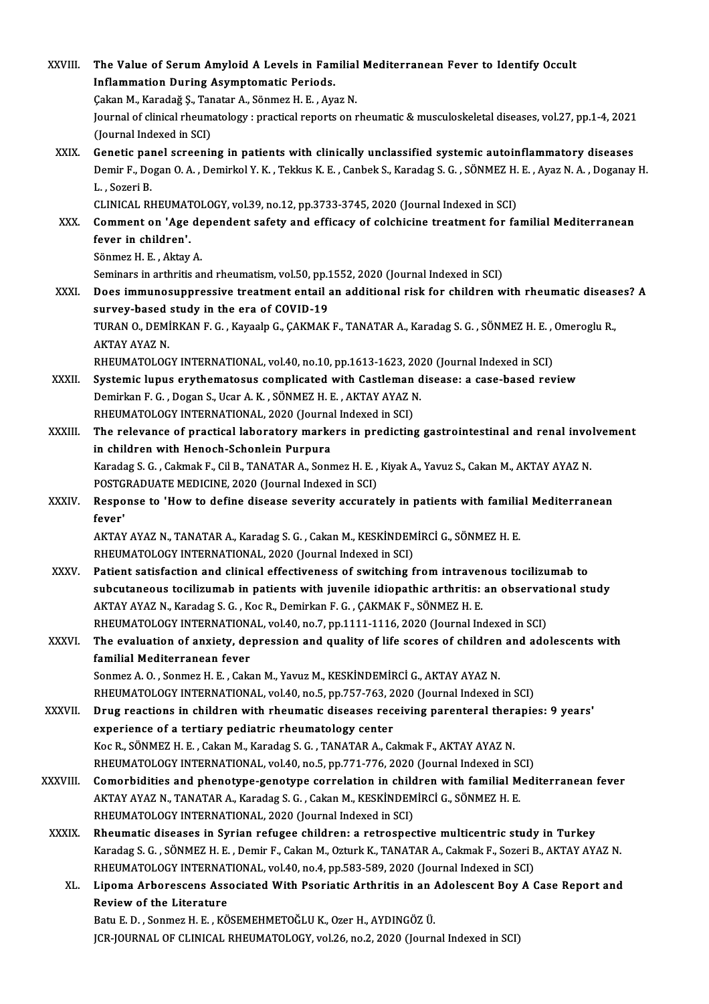| XXVIII.       | The Value of Serum Amyloid A Levels in Familial Mediterranean Fever to Identify Occult                                                                                 |
|---------------|------------------------------------------------------------------------------------------------------------------------------------------------------------------------|
|               | <b>Inflammation During Asymptomatic Periods.</b>                                                                                                                       |
|               | Çakan M., Karadağ Ş., Tanatar A., Sönmez H. E., Ayaz N.                                                                                                                |
|               | Journal of clinical rheumatology : practical reports on rheumatic & musculoskeletal diseases, vol.27, pp.1-4, 2021                                                     |
|               | (Journal Indexed in SCI)                                                                                                                                               |
| XXIX.         | Genetic panel screening in patients with clinically unclassified systemic autoinflammatory diseases                                                                    |
|               | Demir F., Dogan O. A., Demirkol Y. K., Tekkus K. E., Canbek S., Karadag S. G., SÖNMEZ H. E., Ayaz N. A., Doganay H.<br>L., Sozeri B.                                   |
|               | CLINICAL RHEUMATOLOGY, vol.39, no.12, pp.3733-3745, 2020 (Journal Indexed in SCI)                                                                                      |
| XXX.          | Comment on 'Age dependent safety and efficacy of colchicine treatment for familial Mediterranean                                                                       |
|               | fever in children'.                                                                                                                                                    |
|               | Sönmez H. E., Aktay A.                                                                                                                                                 |
|               | Seminars in arthritis and rheumatism, vol.50, pp.1552, 2020 (Journal Indexed in SCI)                                                                                   |
| XXXI.         | Does immunosuppressive treatment entail an additional risk for children with rheumatic diseases? A                                                                     |
|               | survey-based study in the era of COVID-19                                                                                                                              |
|               | TURAN O., DEMİRKAN F. G., Kayaalp G., ÇAKMAK F., TANATAR A., Karadag S. G., SÖNMEZ H. E., Omeroglu R.,                                                                 |
|               | <b>AKTAY AYAZ N.</b>                                                                                                                                                   |
|               | RHEUMATOLOGY INTERNATIONAL, vol.40, no.10, pp.1613-1623, 2020 (Journal Indexed in SCI)                                                                                 |
| XXXII.        | Systemic lupus erythematosus complicated with Castleman disease: a case-based review                                                                                   |
|               | Demirkan F. G., Dogan S., Ucar A. K., SÖNMEZ H. E., AKTAY AYAZ N.                                                                                                      |
| XXXIII.       | RHEUMATOLOGY INTERNATIONAL, 2020 (Journal Indexed in SCI)<br>The relevance of practical laboratory markers in predicting gastrointestinal and renal involvement        |
|               | in children with Henoch-Schonlein Purpura                                                                                                                              |
|               | Karadag S. G., Cakmak F., Cil B., TANATAR A., Sonmez H. E., Kiyak A., Yavuz S., Cakan M., AKTAY AYAZ N.                                                                |
|               | POSTGRADUATE MEDICINE, 2020 (Journal Indexed in SCI)                                                                                                                   |
| XXXIV.        | Response to 'How to define disease severity accurately in patients with familial Mediterranean                                                                         |
|               | fever'                                                                                                                                                                 |
|               | AKTAY AYAZ N., TANATAR A., Karadag S. G., Cakan M., KESKİNDEMİRCİ G., SÖNMEZ H. E.                                                                                     |
|               | RHEUMATOLOGY INTERNATIONAL, 2020 (Journal Indexed in SCI)                                                                                                              |
| <b>XXXV</b>   | Patient satisfaction and clinical effectiveness of switching from intravenous tocilizumab to                                                                           |
|               | subcutaneous tocilizumab in patients with juvenile idiopathic arthritis: an observational study                                                                        |
|               | AKTAY AYAZ N., Karadag S. G., Koc R., Demirkan F. G., ÇAKMAK F., SÖNMEZ H. E.                                                                                          |
|               | RHEUMATOLOGY INTERNATIONAL, vol.40, no.7, pp.1111-1116, 2020 (Journal Indexed in SCI)                                                                                  |
| <b>XXXVI</b>  | The evaluation of anxiety, depression and quality of life scores of children and adolescents with                                                                      |
|               | familial Mediterranean fever                                                                                                                                           |
|               | Sonmez A. O., Sonmez H. E., Cakan M., Yavuz M., KESKİNDEMİRCİ G., AKTAY AYAZ N.<br>RHEUMATOLOGY INTERNATIONAL, vol.40, no.5, pp.757-763, 2020 (Journal Indexed in SCI) |
| <b>XXXVII</b> | Drug reactions in children with rheumatic diseases receiving parenteral therapies: 9 years'                                                                            |
|               | experience of a tertiary pediatric rheumatology center                                                                                                                 |
|               | Koc R., SÖNMEZ H. E., Cakan M., Karadag S. G., TANATAR A., Cakmak F., AKTAY AYAZ N.                                                                                    |
|               | RHEUMATOLOGY INTERNATIONAL, vol.40, no.5, pp.771-776, 2020 (Journal Indexed in SCI)                                                                                    |
| XXXVIII.      | Comorbidities and phenotype-genotype correlation in children with familial Mediterranean fever                                                                         |
|               | AKTAY AYAZ N., TANATAR A., Karadag S. G., Cakan M., KESKİNDEMİRCİ G., SÖNMEZ H. E.                                                                                     |
|               | RHEUMATOLOGY INTERNATIONAL, 2020 (Journal Indexed in SCI)                                                                                                              |
| <b>XXXIX</b>  | Rheumatic diseases in Syrian refugee children: a retrospective multicentric study in Turkey                                                                            |
|               | Karadag S. G., SÖNMEZ H. E., Demir F., Cakan M., Ozturk K., TANATAR A., Cakmak F., Sozeri B., AKTAY AYAZ N.                                                            |
|               | RHEUMATOLOGY INTERNATIONAL, vol.40, no.4, pp.583-589, 2020 (Journal Indexed in SCI)                                                                                    |
| XL.           | Lipoma Arborescens Associated With Psoriatic Arthritis in an Adolescent Boy A Case Report and                                                                          |
|               | Review of the Literature                                                                                                                                               |
|               | Batu E. D., Sonmez H. E., KÖSEMEHMETOĞLU K., Ozer H., AYDINGÖZ Ü.                                                                                                      |
|               | JCR-JOURNAL OF CLINICAL RHEUMATOLOGY, vol.26, no.2, 2020 (Journal Indexed in SCI)                                                                                      |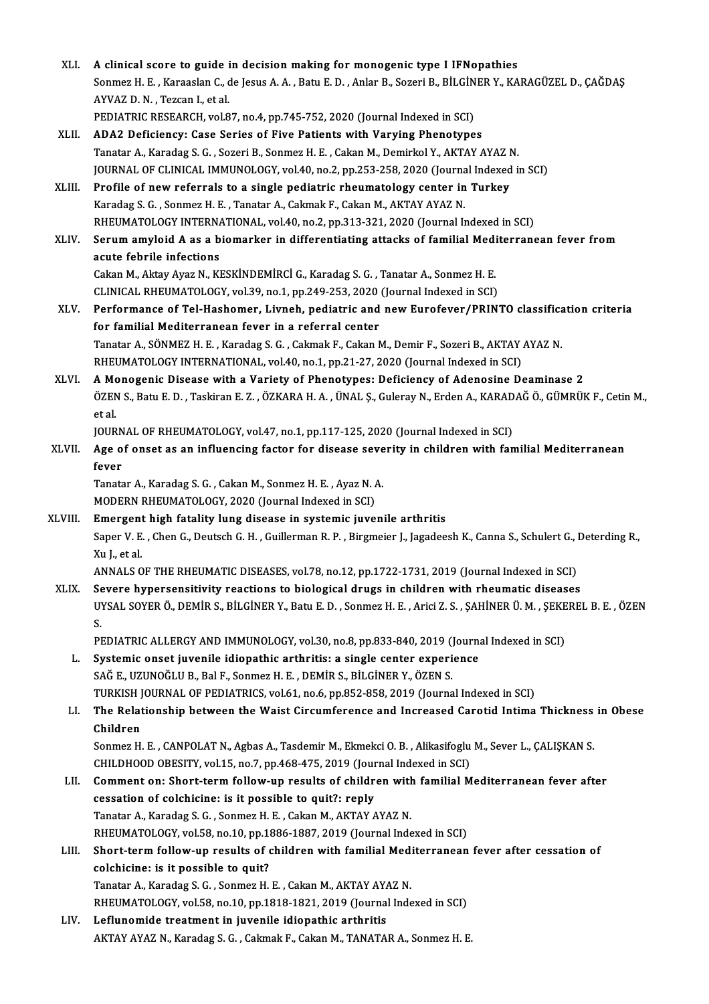| XLI.    | A clinical score to guide in decision making for monogenic type I IFNopathies                                                                      |
|---------|----------------------------------------------------------------------------------------------------------------------------------------------------|
|         | Sonmez H. E. , Karaaslan C., de Jesus A. A. , Batu E. D. , Anlar B., Sozeri B., BİLGİNER Y., KARAGÜZEL D., ÇAĞDAŞ<br>AYVAZ D. N., Tezcan I, et al. |
|         | PEDIATRIC RESEARCH, vol.87, no.4, pp.745-752, 2020 (Journal Indexed in SCI)                                                                        |
| XLII.   | ADA2 Deficiency: Case Series of Five Patients with Varying Phenotypes                                                                              |
|         | Tanatar A., Karadag S. G., Sozeri B., Sonmez H. E., Cakan M., Demirkol Y., AKTAY AYAZ N.                                                           |
|         | JOURNAL OF CLINICAL IMMUNOLOGY, vol.40, no.2, pp.253-258, 2020 (Journal Indexed in SCI)                                                            |
| XLIII.  | Profile of new referrals to a single pediatric rheumatology center in Turkey                                                                       |
|         | Karadag S. G., Sonmez H. E., Tanatar A., Cakmak F., Cakan M., AKTAY AYAZ N.                                                                        |
|         | RHEUMATOLOGY INTERNATIONAL, vol.40, no.2, pp.313-321, 2020 (Journal Indexed in SCI)                                                                |
| XLIV.   | Serum amyloid A as a biomarker in differentiating attacks of familial Mediterranean fever from                                                     |
|         | acute febrile infections                                                                                                                           |
|         | Cakan M., Aktay Ayaz N., KESKİNDEMİRCİ G., Karadag S. G. , Tanatar A., Sonmez H. E.                                                                |
|         | CLINICAL RHEUMATOLOGY, vol.39, no.1, pp.249-253, 2020 (Journal Indexed in SCI)                                                                     |
| XLV.    | Performance of Tel-Hashomer, Livneh, pediatric and new Eurofever/PRINTO classification criteria                                                    |
|         | for familial Mediterranean fever in a referral center                                                                                              |
|         | Tanatar A., SÖNMEZ H. E., Karadag S. G., Cakmak F., Cakan M., Demir F., Sozeri B., AKTAY AYAZ N.                                                   |
|         | RHEUMATOLOGY INTERNATIONAL, vol.40, no.1, pp.21-27, 2020 (Journal Indexed in SCI)                                                                  |
| XLVI.   | A Monogenic Disease with a Variety of Phenotypes: Deficiency of Adenosine Deaminase 2                                                              |
|         | ÖZEN S., Batu E. D., Taskiran E. Z., ÖZKARA H. A., ÜNAL Ş., Guleray N., Erden A., KARADAĞ Ö., GÜMRÜK F., Cetin M.,<br>et al.                       |
|         | JOURNAL OF RHEUMATOLOGY, vol.47, no.1, pp.117-125, 2020 (Journal Indexed in SCI)                                                                   |
| XLVII.  | Age of onset as an influencing factor for disease severity in children with familial Mediterranean                                                 |
|         | fever                                                                                                                                              |
|         | Tanatar A., Karadag S. G., Cakan M., Sonmez H. E., Ayaz N. A.                                                                                      |
|         | MODERN RHEUMATOLOGY, 2020 (Journal Indexed in SCI)                                                                                                 |
| XLVIII. | Emergent high fatality lung disease in systemic juvenile arthritis                                                                                 |
|         | Saper V. E., Chen G., Deutsch G. H., Guillerman R. P., Birgmeier J., Jagadeesh K., Canna S., Schulert G., Deterding R.,                            |
|         | Xu L. et al. .                                                                                                                                     |
|         | ANNALS OF THE RHEUMATIC DISEASES, vol.78, no.12, pp.1722-1731, 2019 (Journal Indexed in SCI)                                                       |
| XLIX.   | Severe hypersensitivity reactions to biological drugs in children with rheumatic diseases                                                          |
|         | UYSAL SOYER Ö., DEMİR S., BİLGİNER Y., Batu E. D. , Sonmez H. E. , Arici Z. S. , ŞAHİNER Ü. M. , ŞEKEREL B. E. , ÖZEN<br>S.                        |
|         | PEDIATRIC ALLERGY AND IMMUNOLOGY, vol.30, no.8, pp.833-840, 2019 (Journal Indexed in SCI)                                                          |
| L.      | Systemic onset juvenile idiopathic arthritis: a single center experience                                                                           |
|         | SAĞ E., UZUNOĞLU B., Bal F., Sonmez H. E. , DEMİR S., BİLGİNER Y., ÖZEN S.                                                                         |
|         | TURKISH JOURNAL OF PEDIATRICS, vol.61, no.6, pp.852-858, 2019 (Journal Indexed in SCI)                                                             |
| LI.     | The Relationship between the Waist Circumference and Increased Carotid Intima Thickness in Obese                                                   |
|         | Children                                                                                                                                           |
|         | Sonmez H. E., CANPOLAT N., Agbas A., Tasdemir M., Ekmekci O. B., Alikasifoglu M., Sever L., CALISKAN S.                                            |
|         | CHILDHOOD OBESITY, vol.15, no.7, pp.468-475, 2019 (Journal Indexed in SCI)                                                                         |
| LII.    | Comment on: Short-term follow-up results of children with familial Mediterranean fever after                                                       |
|         | cessation of colchicine: is it possible to quit?: reply                                                                                            |
|         | Tanatar A., Karadag S. G., Sonmez H. E., Cakan M., AKTAY AYAZ N.                                                                                   |
|         | RHEUMATOLOGY, vol.58, no.10, pp.1886-1887, 2019 (Journal Indexed in SCI)                                                                           |
| LIII.   | Short-term follow-up results of children with familial Mediterranean fever after cessation of                                                      |
|         | colchicine: is it possible to quit?                                                                                                                |
|         | Tanatar A., Karadag S. G., Sonmez H. E., Cakan M., AKTAY AYAZ N.                                                                                   |
|         | RHEUMATOLOGY, vol.58, no.10, pp.1818-1821, 2019 (Journal Indexed in SCI)                                                                           |
| LIV.    | Leflunomide treatment in juvenile idiopathic arthritis                                                                                             |
|         | AKTAY AYAZ N., Karadag S. G., Cakmak F., Cakan M., TANATAR A., Sonmez H. E.                                                                        |
|         |                                                                                                                                                    |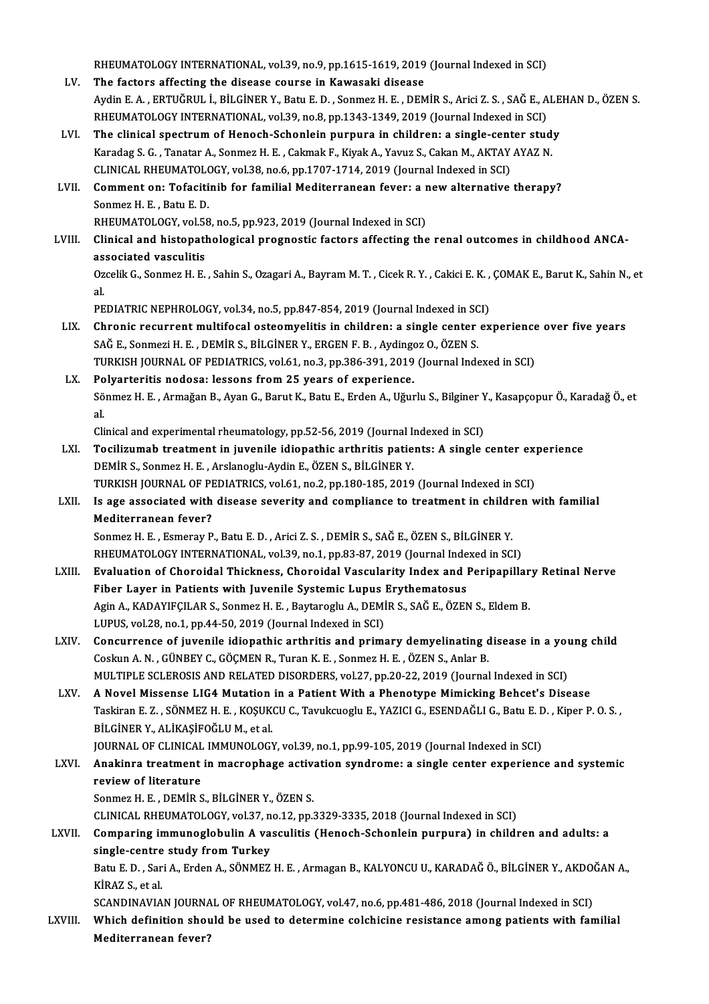RHEUMATOLOGY INTERNATIONAL, vol.39, no.9, pp.1615-1619, 2019 (Journal Indexed in SCI)<br>The factors affecting the disease seurce in Kowasaki disease

- RHEUMATOLOGY INTERNATIONAL, vol.39, no.9, pp.1615-1619, 2019<br>LV. The factors affecting the disease course in Kawasaki disease<br>Aydin E.A., EPTUČPULL PRI CINER V. Pety E.D., Sonmer H.E., DEM RHEUMATOLOGY INTERNATIONAL, vol.39, no.9, pp.1615-1619, 2019 (Journal Indexed in SCI)<br>The factors affecting the disease course in Kawasaki disease<br>Aydin E. A. , ERTUĞRUL İ., BİLGİNER Y., Batu E. D. , Sonmez H. E. , DEMİR S The factors affecting the disease course in Kawasaki disease<br>Aydin E. A. , ERTUĞRUL İ., BİLGİNER Y., Batu E. D. , Sonmez H. E. , DEMİR S., Arici Z. S. , SAĞ E., A<br>RHEUMATOLOGY INTERNATIONAL, vol.39, no.8, pp.1343-1349, 201 Aydin E. A., ERTUĞRUL İ., BİLGİNER Y., Batu E. D., Sonmez H. E., DEMİR S., Arici Z. S., SAĞ E., ALE<br>RHEUMATOLOGY INTERNATIONAL, vol.39, no.8, pp.1343-1349, 2019 (Journal Indexed in SCI)<br>LVI. The clinical spectrum of Henoch
- RHEUMATOLOGY INTERNATIONAL, vol.39, no.8, pp.1343-1349, 2019 (Journal Indexed in SCI)<br>The clinical spectrum of Henoch-Schonlein purpura in children: a single-center stud<br>Karadag S. G. , Tanatar A., Sonmez H. E. , Cakmak F. The clinical spectrum of Henoch-Schonlein purpura in children: a single-cent<br>Karadag S. G. , Tanatar A., Sonmez H. E. , Cakmak F., Kiyak A., Yavuz S., Cakan M., AKTAY<br>CLINICAL RHEUMATOLOGY, vol.38, no.6, pp.1707-1714, 2019 Karadag S. G. , Tanatar A., Sonmez H. E. , Cakmak F., Kiyak A., Yavuz S., Cakan M., AKTAY AYAZ N.<br>CLINICAL RHEUMATOLOGY, vol.38, no.6, pp.1707-1714, 2019 (Journal Indexed in SCI)<br>LVII. Comment on: Tofacitinib for familial
- CLINICAL RHEUMATOLOGY, vol.38, no.6, pp.1707-1714, 2019 (Journal Indexed in SCI)<br>Comment on: Tofacitinib for familial Mediterranean fever: a new alternative<br>Sonmez H. E., Batu E. D.<br>RHEUMATOLOGY, vol.58, no.5, pp.923, 2019 Comment on: Tofacitinib for familial Mediterranean fever: a r<br>Sonmez H. E. , Batu E. D.<br>RHEUMATOLOGY, vol.58, no.5, pp.923, 2019 (Journal Indexed in SCI)<br>Clinical and bistonathological prognastic factors affecting the

Sonmez H. E. , Batu E. D.<br>RHEUMATOLOGY, vol.58, no.5, pp.923, 2019 (Journal Indexed in SCI)<br>LVIII. Clinical and histopathological prognostic factors affecting the renal outcomes in childhood ANCA-<br>associated yoseylitic RHEUMATOLOGY, vol.5<br>Clinical and histopat<br>associated vasculitis<br>Orgelik G Senmer H F Clinical and histopathological prognostic factors affecting the renal outcomes in childhood ANCA-<br>associated vasculitis<br>Ozcelik G., Sonmez H. E. , Sahin S., Ozagari A., Bayram M. T. , Cicek R. Y. , Cakici E. K. , ÇOMAK E.,

as<br>0z<br>nr Ozcelik G., Sonmez H. E. , Sahin S., Ozagari A., Bayram M. T. , Cicek R. Y. , Cakici E. K. ,<br>al.<br>PEDIATRIC NEPHROLOGY, vol.34, no.5, pp.847-854, 2019 (Journal Indexed in SCI)<br>Chronic requirent multifosal esteemyelitie in s

- al.<br>PEDIATRIC NEPHROLOGY, vol.34, no.5, pp.847-854, 2019 (Journal Indexed in SCI)<br>LIX. Chronic recurrent multifocal osteomyelitis in children: a single center experience over five years<br>SAČE Sonmari H.E., DEMIR S. PH.CINER PEDIATRIC NEPHROLOGY, vol.34, no.5, pp.847-854, 2019 (Journal Indexed in SC<br>Chronic recurrent multifocal osteomyelitis in children: a single center<br>SAĞ E., Sonmezi H. E. , DEMİR S., BİLGİNER Y., ERGEN F. B. , Aydingoz O., Chronic recurrent multifocal osteomyelitis in children: a single center experience<br>SAĞ E., Sonmezi H. E. , DEMİR S., BİLGİNER Y., ERGEN F. B. , Aydingoz O., ÖZEN S.<br>TURKISH JOURNAL OF PEDIATRICS, vol.61, no.3, pp.386-391, SAĞ E., Sonmezi H. E. , DEMİR S., BİLGİNER Y., ERGEN F. B. , Aydingoz O., ÖZEN S.<br>TURKISH JOURNAL OF PEDIATRICS, vol.61, no.3, pp.386-391, 2019 (Journal Indexed in SCI)<br>LX. Polyarteritis nodosa: lessons from 25 years of ex
- TURKISH JOURNAL OF PEDIATRICS, vol.61, no.3, pp.386-391, 2019 (Journal Indexed in SCI)<br><mark>Polyarteritis nodosa: lessons from 25 years of experience.</mark><br>Sönmez H. E. , Armağan B., Ayan G., Barut K., Batu E., Erden A., Uğurlu S. Po<br>Sö<br>al.<br>Ci Sönmez H. E. , Armağan B., Ayan G., Barut K., Batu E., Erden A., Uğurlu S., Bilginer Y<br>al.<br>Clinical and experimental rheumatology, pp.52-56, 2019 (Journal Indexed in SCI)<br>Togilizumah treatment in iuvenile idionathic arthri

- al.<br>Clinical and experimental rheumatology, pp.52-56, 2019 (Journal Indexed in SCI)<br>LXI. Tocilizumab treatment in juvenile idiopathic arthritis patients: A single center experience<br>DEM<sup>ID S</sup>. Sonmog H. F. Arclanegly Av Clinical and experimental rheumatology, pp.52-56, 2019 (Journal In Tocilizumab treatment in juvenile idiopathic arthritis patie<br>DEMİR S., Sonmez H. E. , Arslanoglu-Aydin E., ÖZEN S., BİLGİNER Y.<br>TURKISLI JOURNAL OF REDIATR Tocilizumab treatment in juvenile idiopathic arthritis patients: A single center exp<br>DEMİR S., Sonmez H. E. , Arslanoglu-Aydin E., ÖZEN S., BİLGİNER Y.<br>TURKISH JOURNAL OF PEDIATRICS, vol.61, no.2, pp.180-185, 2019 (Journal DEMIR S., Sonmez H. E. , Arslanoglu-Aydin E., ÖZEN S., BİLGİNER Y.<br>TURKISH JOURNAL OF PEDIATRICS, vol.61, no.2, pp.180-185, 2019 (Journal Indexed in SCI)<br>LXII. Is age associated with disease severity and compliance to trea
- TURKISH JOURNAL OF PEDIATRICS, vol.61, no.2, pp.180-185, 2019 (Journal Indexed in SCI)<br>Is age associated with disease severity and compliance to treatment in children v<br>Mediterranean fever?<br>Sonmez H. E., Esmeray P., Batu E Is age associated with disease severity and compliance to treatment in childr<br>Mediterranean fever?<br>Sonmez H. E. , Esmeray P., Batu E. D. , Arici Z. S. , DEMİR S., SAĞ E., ÖZEN S., BİLGİNER Y.<br>RHEUMATOLOGY INTERNATIONAL .vo Mediterranean fever?<br>Sonmez H. E. , Esmeray P., Batu E. D. , Arici Z. S. , DEMİR S., SAĞ E., ÖZEN S., BİLGİNER Y.<br>RHEUMATOLOGY INTERNATIONAL, vol.39, no.1, pp.83-87, 2019 (Journal Indexed in SCI)<br>Evaluation of Charoidal Th

- LXIII. Evaluation of Choroidal Thickness, Choroidal Vascularity Index and Peripapillary Retinal Nerve<br>Fiber Layer in Patients with Juvenile Systemic Lupus Erythematosus RHEUMATOLOGY INTERNATIONAL, vol.39, no.1, pp.83-87, 2019 (Journal Inde<br>Evaluation of Choroidal Thickness, Choroidal Vascularity Index and l<br>Fiber Layer in Patients with Juvenile Systemic Lupus Erythematosus<br>Agin A. KADAYIE Evaluation of Choroidal Thickness, Choroidal Vascularity Index and Peripapillar<br>Fiber Layer in Patients with Juvenile Systemic Lupus Erythematosus<br>Agin A., KADAYIFÇILAR S., Sonmez H. E. , Baytaroglu A., DEMİR S., SAĞ E., Ö Fiber Layer in Patients with Juvenile Systemic Lupus |<br>Agin A., KADAYIFÇILAR S., Sonmez H. E. , Baytaroglu A., DEMI<br>LUPUS, vol.28, no.1, pp.44-50, 2019 (Journal Indexed in SCI)<br>Consurrence of iuvenile idionathic arthritic Agin A., KADAYIFÇILAR S., Sonmez H. E., Baytaroglu A., DEMIR S., SAĞ E., ÖZEN S., Eldem B.<br>LUPUS, vol.28, no.1, pp.44-50, 2019 (Journal Indexed in SCI)<br>LXIV. Concurrence of juvenile idiopathic arthritis and primary demyeli
- LUPUS, vol.28, no.1, pp.44-50, 2019 (Journal Indexed in SCI)<br>Concurrence of juvenile idiopathic arthritis and primary demyelinating c<br>Coskun A. N. , GÜNBEY C., GÖÇMEN R., Turan K. E. , Sonmez H. E. , ÖZEN S., Anlar B.<br>MULT Concurrence of juvenile idiopathic arthritis and primary demyelinating disease in a you<br>Coskun A. N. , GÜNBEY C., GÖÇMEN R., Turan K. E. , Sonmez H. E. , ÖZEN S., Anlar B.<br>MULTIPLE SCLEROSIS AND RELATED DISORDERS, vol.27, Coskun A. N. , GÜNBEY C., GÖÇMEN R., Turan K. E. , Sonmez H. E. , ÖZEN S., Anlar B.<br>MULTIPLE SCLEROSIS AND RELATED DISORDERS, vol.27, pp.20-22, 2019 (Journal Indexed in SCI)<br>LXV. A Novel Missense LIG4 Mutation in a Pat
- MULTIPLE SCLEROSIS AND RELATED DISORDERS, vol.27, pp.20-22, 2019 (Journal Indexed in SCI)<br>A Novel Missense LIG4 Mutation in a Patient With a Phenotype Mimicking Behcet's Disease<br>Taskiran E. Z. , SÖNMEZ H. E. , KOŞUKCU C., A Novel Missense LIG4 Mutation<br>Taskiran E. Z. , SÖNMEZ H. E. , KOŞUK<br>BİLGİNER Y., ALİKAŞİFOĞLU M., et al.<br>JOUPNAL OE CLINICAL IMMUNOLOC. Taskiran E. Z. , SÖNMEZ H. E. , KOŞUKCU C., Tavukcuoglu E., YAZICI G., ESENDAĞLI G., Batu E. D<br>BİLGİNER Y., ALİKAŞİFOĞLU M., et al.<br>JOURNAL OF CLINICAL IMMUNOLOGY, vol.39, no.1, pp.99-105, 2019 (Journal Indexed in SCI)<br>Ana

BİLGİNER Y., ALİKAŞİFOĞLU M., et al.<br>JOURNAL OF CLINICAL IMMUNOLOGY, vol.39, no.1, pp.99-105, 2019 (Journal Indexed in SCI)<br>LXVI. Anakinra treatment in macrophage activation syndrome: a single center experience and sys **JOURNAL OF CLINICAL<br>Anakinra treatment<br>review of literature<br>Sonmer H E . DEMID S** Anakinra treatment in macrophage active<br>review of literature<br>Sonmez H. E. , DEMİR S., BİLGİNER Y., ÖZEN S.<br>CUNICAL RHEUMATOLOCY vel 37. no.12.nn. review of literature<br>Sonmez H. E. , DEMİR S., BİLGİNER Y., ÖZEN S.<br>CLINICAL RHEUMATOLOGY, vol.37, no.12, pp.3329-3335, 2018 (Journal Indexed in SCI)<br>Comparing immunoglabulin A vesculitis (Honesh Sshonlein nunnus) in shild:

Sonmez H. E. , DEMIR S., BILGINER Y., ÖZEN S.<br>CLINICAL RHEUMATOLOGY, vol.37, no.12, pp.3329-3335, 2018 (Journal Indexed in SCI)<br>LXVII. Comparing immunoglobulin A vasculitis (Henoch-Schonlein purpura) in children and adults CLINICAL RHEUMATOLOGY, vol.37, n<br>Comparing immunoglobulin A va<br>single-centre study from Turkey<br>Patu E.D., Sari A. Erden A. SÖNMEZ Comparing immunoglobulin A vasculitis (Henoch-Schonlein purpura) in children and adults: a<br>single-centre study from Turkey<br>Batu E. D. , Sari A., Erden A., SÖNMEZ H. E. , Armagan B., KALYONCU U., KARADAĞ Ö., BİLGİNER Y., AK

si<mark>ngle-centre</mark><br>Batu E. D. , Sar<br>KİRAZ S., et al.<br>SCANDIMAVIA Batu E. D. , Sari A., Erden A., SÖNMEZ H. E. , Armagan B., KALYONCU U., KARADAĞ Ö., BİLGİNER Y., AKDOQ<br>KİRAZ S., et al.<br>SCANDINAVIAN JOURNAL OF RHEUMATOLOGY, vol.47, no.6, pp.481-486, 2018 (Journal Indexed in SCI)<br>Which de

KİRAZ S., et al.<br>SCANDINAVIAN JOURNAL OF RHEUMATOLOGY, vol.47, no.6, pp.481-486, 2018 (Journal Indexed in SCI)<br>LXVIII. Which definition should be used to determine colchicine resistance among patients with familial SCANDINAVIAN JOURNA<br>Which definition shou<br>Mediterranean fever?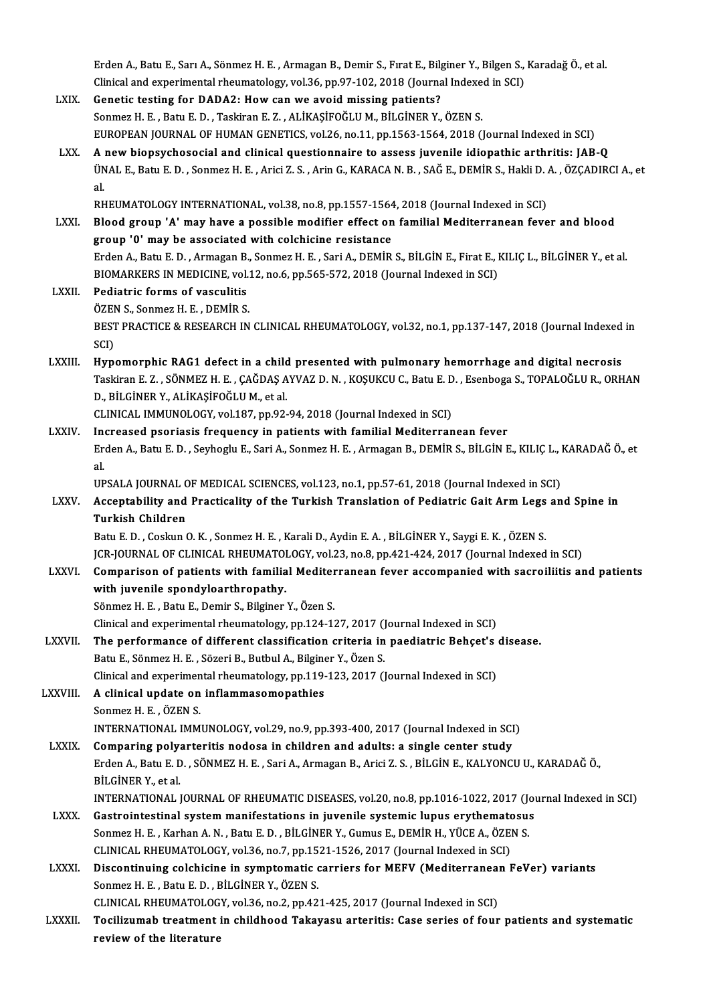Erden A., Batu E., Sarı A., Sönmez H. E., Armagan B., Demir S., Fırat E., Bilginer Y., Bilgen S., Karadağ Ö., et al. Erden A., Batu E., Sarı A., Sönmez H. E. , Armagan B., Demir S., Fırat E., Bilginer Y., Bilgen S.,<br>Clinical and experimental rheumatology, vol.36, pp.97-102, 2018 (Journal Indexed in SCI)<br>Conetis testing for DADA2: How san Erden A., Batu E., Sarı A., Sönmez H. E., Armagan B., Demir S., Fırat E., Bilg<br>Clinical and experimental rheumatology, vol.36, pp.97-102, 2018 (Journa<br>LXIX. Genetic testing for DADA2: How can we avoid missing patients? Clinical and experimental rheumatology, vol.36, pp.97-102, 2018 (Journal Indexendentic testing for DADA2: How can we avoid missing patients?<br>Sonmez H. E. , Batu E. D. , Taskiran E. Z. , ALİKAŞİFOĞLU M., BİLGİNER Y., ÖZEN S Genetic testing for DADA2: How can we avoid missing patients?<br>Sonmez H. E. , Batu E. D. , Taskiran E. Z. , ALİKAŞİFOĞLU M., BİLGİNER Y., ÖZEN S.<br>EUROPEAN JOURNAL OF HUMAN GENETICS, vol.26, no.11, pp.1563-1564, 2018 (Journa LXX. A new biopsychosocial and clinical questionnaire to assess juvenile idiopathic arthritis: JAB-Q EUROPEAN JOURNAL OF HUMAN GENETICS, vol.26, no.11, pp.1563-1564, 2018 (Journal Indexed in SCI)<br>A new biopsychosocial and clinical questionnaire to assess juvenile idiopathic arthritis: JAB-Q<br>ÜNAL E., Batu E. D. , Sonmez H. a<br>ÜN<br>al.<br>pr ÜNAL E., Batu E. D. , Sonmez H. E. , Arici Z. S. , Arin G., KARACA N. B. , SAĞ E., DEMİR S., Hakli D. .<br>al.<br>RHEUMATOLOGY INTERNATIONAL, vol.38, no.8, pp.1557-1564, 2018 (Journal Indexed in SCI)<br>Plaad group 'A' may baye a p al.<br>RHEUMATOLOGY INTERNATIONAL, vol.38, no.8, pp.1557-1564, 2018 (Journal Indexed in SCI)<br>LXXI. Blood group 'A' may have a possible modifier effect on familial Mediterranean fever and blood<br>group 'A' may ha associated with RHEUMATOLOGY INTERNATIONAL, vol.38, no.8, pp.1557-1564<br>Blood group 'A' may have a possible modifier effect on<br>group '0' may be associated with colchicine resistance<br>Erden A. Betu E.D., Armagan B. Sonmog H.E., Soni A. DEMip Blood group 'A' may have a possible modifier effect on familial Mediterranean fever and blood<br>group '0' may be associated with colchicine resistance<br>Erden A., Batu E. D. , Armagan B., Sonmez H. E. , Sari A., DEMİR S., BİLG group '0' may be associated with colchicine resistance<br>Erden A., Batu E. D. , Armagan B., Sonmez H. E. , Sari A., DEMİR S., BİLGİN E., Firat E., KILIÇ L., BİLGİNER Y., et al.<br>BIOMARKERS IN MEDICINE, vol.12, no.6, pp.565-57 Erden A., Batu E. D., Armagan B.<br>BIOMARKERS IN MEDICINE, vol.<br>LXXII. Pediatric forms of vasculitis BIOMARKERS IN MEDICINE, vol.<br>Pediatric forms of vasculitis<br>ÖZEN S., Sonmez H. E. , DEMİR S.<br>PEST PRACTICE & PESEARCU IN BEST PRACTICE & RESEARCH IN CLINICAL RHEUMATOLOGY, vol.32, no.1, pp.137-147, 2018 (Journal Indexed in SCI) ÖZEN S. Sonmez H. E. DEMİR S. BEST PRACTICE & RESEARCH IN CLINICAL RHEUMATOLOGY, vol.32, no.1, pp.137-147, 2018 (Journal Indexed<br>SCI)<br>LXXIII. Hypomorphic RAG1 defect in a child presented with pulmonary hemorrhage and digital necrosis<br>Technor E.Z. SÖNME SCI)<br>Hypomorphic RAG1 defect in a child presented with pulmonary hemorrhage and digital necrosis<br>Taskiran E. Z. , SÖNMEZ H. E. , ÇAĞDAŞ AYVAZ D. N. , KOŞUKCU C., Batu E. D. , Esenboga S., TOPALOĞLU R., ORHAN<br>D. BİLÇİNER V. Hypomorphic RAG1 defect in a child<br>Taskiran E. Z. , SÖNMEZ H. E. , ÇAĞDAŞ A<br>D., BİLGİNER Y., ALİKAŞİFOĞLU M., et al.<br>CLINICAL IMMINOLOCY vel 197. pp.93 Taskiran E. Z. , SÖNMEZ H. E. , ÇAĞDAŞ AYVAZ D. N. , KOŞUKCU C., Batu E. D. , Esenboga S., TOPALOĞLU R., ORHAN<br>D., BİLGİNER Y., ALİKAŞİFOĞLU M., et al.<br>CLINICAL IMMUNOLOGY, vol.187, pp.92-94, 2018 (Journal Indexed in SCI) LXXIV. Increased psoriasis frequency in patients with familial Mediterranean fever CLINICAL IMMUNOLOGY, vol.187, pp.92-94, 2018 (Journal Indexed in SCI)<br>Increased psoriasis frequency in patients with familial Mediterranean fever<br>Erden A., Batu E. D. , Seyhoglu E., Sari A., Sonmez H. E. , Armagan B., DEMİ In<br>Er<br>al<br>Un Erden A., Batu E. D. , Seyhoglu E., Sari A., Sonmez H. E. , Armagan B., DEMİR S., BİLGİN E., KILIÇ L., I<br>al.<br>UPSALA JOURNAL OF MEDICAL SCIENCES, vol.123, no.1, pp.57-61, 2018 (Journal Indexed in SCI)<br>Assantability and Bras al.<br>UPSALA JOURNAL OF MEDICAL SCIENCES, vol.123, no.1, pp.57-61, 2018 (Journal Indexed in SCI)<br>LXXV. Acceptability and Practicality of the Turkish Translation of Pediatric Gait Arm Legs and Spine in<br>Turkish Children UPSALA JOURNAL OF MEDICAL SCIENCES, vol.123, no.1, pp.57-61, 2018 (Journal Indexed in SCI)<br>Acceptability and Practicality of the Turkish Translation of Pediatric Gait Arm Legs an<br>Turkish Children<br>Batu E. D., Coskun O. K., Acceptability and Practicality of the Turkish Translation of Pediatric Gait Arm Legs<br>Turkish Children<br>Batu E. D. , Coskun O. K. , Sonmez H. E. , Karali D., Aydin E. A. , BİLGİNER Y., Saygi E. K. , ÖZEN S.<br>ICR JOURNAL OF CU Turkish Children<br>Batu E. D. , Coskun O. K. , Sonmez H. E. , Karali D., Aydin E. A. , BİLGİNER Y., Saygi E. K. , ÖZEN S.<br>JCR-JOURNAL OF CLINICAL RHEUMATOLOGY, vol.23, no.8, pp.421-424, 2017 (Journal Indexed in SCI)<br>Comparis Batu E. D. , Coskun O. K. , Sonmez H. E. , Karali D., Aydin E. A. , BİLGİNER Y., Saygi E. K. , ÖZEN S.<br>JCR-JOURNAL OF CLINICAL RHEUMATOLOGY, vol.23, no.8, pp.421-424, 2017 (Journal Indexed in SCI)<br>LXXVI. Comparison of JCR-JOURNAL OF CLINICAL RHEUMATOI<br>Comparison of patients with familia<br>with juvenile spondyloarthropathy.<br>Sänmer H. E., Petu E. Demir S. Bilginer Comparison of patients with familial Mediter<br>with juvenile spondyloarthropathy.<br>Sönmez H. E., Batu E., Demir S., Bilginer Y., Özen S.<br>Clinical and experimental rhoumatelegy, pp.124.1. with juvenile spondyloarthropathy.<br>Sönmez H. E. , Batu E., Demir S., Bilginer Y., Özen S.<br>Clinical and experimental rheumatology, pp.124-127, 2017 (Journal Indexed in SCI)<br>The performance of different closeification exiter Sönmez H. E. , Batu E., Demir S., Bilginer Y., Özen S.<br>Clinical and experimental rheumatology, pp.124-127, 2017 (Journal Indexed in SCI)<br>LXXVII. The performance of different classification criteria in paediatric Behçet's d Clinical and experimental rheumatology, pp.124-127, 2017 ()<br>The performance of different classification criteria in<br>Batu E., Sönmez H. E. , Sözeri B., Butbul A., Bilginer Y., Özen S.<br>Clinical and experimental rheumatelegy, The performance of different classification criteria in paediatric Behçet's<br>Batu E., Sönmez H. E. , Sözeri B., Butbul A., Bilginer Y., Özen S.<br>Clinical and experimental rheumatology, pp.119-123, 2017 (Journal Indexed in SC Batu E., Sönmez H. E. , Sözeri B., Butbul A., Bilginer Y., Özen S.<br>Clinical and experimental rheumatology, pp.119-123, 2017 (Journal Indexed in SCI)<br>LXXVIII. A clinical update on inflammasomopathies Sonmez H.E., ÖZEN S. A clinical update on inflammasomopathies<br>Sonmez H. E. , ÖZEN S.<br>INTERNATIONAL IMMUNOLOGY, vol.29, no.9, pp.393-400, 2017 (Journal Indexed in SCI)<br>Comparing polyarteritic podese in shildrop and adults: a single senter study Sonmez H. E., ÖZEN S.<br>INTERNATIONAL IMMUNOLOGY, vol.29, no.9, pp.393-400, 2017 (Journal Indexed in SCI<br>LXXIX. Comparing polyarteritis nodosa in children and adults: a single center study<br>Endep A. Betu E. D., SÖNMEZ H. E. S INTERNATIONAL IMMUNOLOGY, vol.29, no.9, pp.393-400, 2017 (Journal Indexed in SCI)<br>Comparing polyarteritis nodosa in children and adults: a single center study<br>Erden A., Batu E. D. , SÖNMEZ H. E. , Sari A., Armagan B., Aric Comparing poly:<br>Erden A., Batu E. D<br>BİLGİNER Y., et al.<br>INTERNATIONAL I Erden A., Batu E. D. , SÖNMEZ H. E. , Sari A., Armagan B., Arici Z. S. , BİLGİN E., KALYONCU U., KARADAĞ Ö.,<br>BİLGİNER Y., et al.<br>INTERNATIONAL JOURNAL OF RHEUMATIC DISEASES, vol.20, no.8, pp.1016-1022, 2017 (Journal Indexe BILGINER Y., et al.<br>INTERNATIONAL JOURNAL OF RHEUMATIC DISEASES, vol.20, no.8, pp.1016-1022, 2017 (Journal System in Juvenile systemic lupus erythematosus<br>Castrointestinal system manifestations in juvenile systemic lupus e INTERNATIONAL JOURNAL OF RHEUMATIC DISEASES, vol.20, no.8, pp.1016-1022, 2017 (Journal Indexed in SCI)<br>Gastrointestinal system manifestations in juvenile systemic lupus erythematosus<br>Sonmez H. E. . Karhan A. N. . Batu E. D Gastrointestinal system manifestations in juvenile systemic lupus erythemator<br>Sonmez H. E. , Karhan A. N. , Batu E. D. , BİLGİNER Y., Gumus E., DEMİR H., YÜCE A., ÖZEI<br>CLINICAL RHEUMATOLOGY, vol.36, no.7, pp.1521-1526, 201 Sonmez H. E. , Karhan A. N. , Batu E. D. , BILGINER Y., Gumus E., DEMIR H., YÜCE A., ÖZEN S.<br>CLINICAL RHEUMATOLOGY, vol.36, no.7, pp.1521-1526, 2017 (Journal Indexed in SCI)<br>LXXXI. Discontinuing colchicine in symptomatic c CLINICAL RHEUMATOLOGY, vol.36, no.7, pp.1521-1526, 2017 (Journal Indexed in SCI)<br>Discontinuing colchicine in symptomatic carriers for MEFV (Mediterranean l<br>Sonmez H. E. , Batu E. D. , BİLGİNER Y., ÖZEN S.<br>CLINICAL RHEUMATO Discontinuing colchicine in symptomatic carriers for MEFV (Mediterraneal<br>Sonmez H. E. , Batu E. D. , BİLGİNER Y., ÖZEN S.<br>CLINICAL RHEUMATOLOGY, vol.36, no.2, pp.421-425, 2017 (Journal Indexed in SCI)<br>Tesilinumah trastmant Sonmez H. E. , Batu E. D. , BİLGİNER Y., ÖZEN S.<br>CLINICAL RHEUMATOLOGY, vol.36, no.2, pp.421-425, 2017 (Journal Indexed in SCI)<br>LXXXII. Tocilizumab treatment in childhood Takayasu arteritis: Case series of four patient CLINICAL RHEUMATOLOG<br>Tocilizumab treatment<br>review of the literature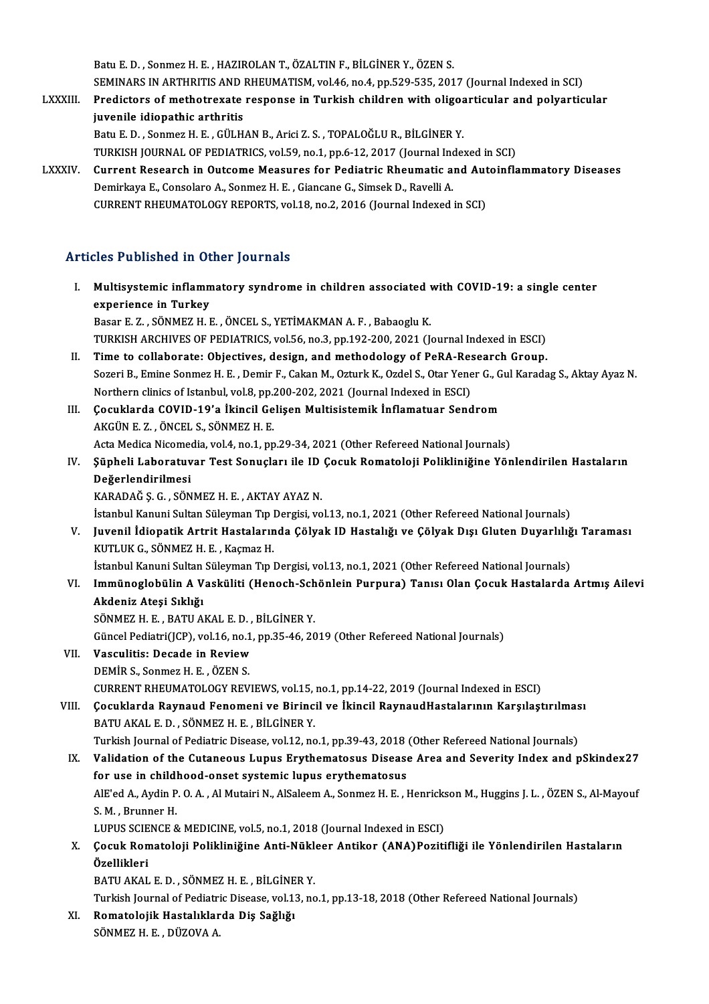Batu E.D., Sonmez H.E., HAZIROLAN T., ÖZALTIN F., BİLGİNER Y., ÖZEN S. SEMINARS IN ARTHRITIS AND RHEUMATISM, vol.46, no.4, pp.529-535, 2017 (Journal Indexed in SCI) Batu E. D. , Sonmez H. E. , HAZIROLAN T., ÖZALTIN F., BİLGİNER Y., ÖZEN S.<br>SEMINARS IN ARTHRITIS AND RHEUMATISM, vol.46, no.4, pp.529-535, 2017 (Journal Indexed in SCI)<br>LXXXIII. Predictors of methotrexate response in Turki

- SEMINARS IN ARTHRITIS AND I<br>Predictors of methotrexate<br>juvenile idiopathic arthritis<br>Patu E.D. Sonmer H.E. CÜLH Predictors of methotrexate response in Turkish children with oligoz<br>juvenile idiopathic arthritis<br>Batu E. D., Sonmez H. E., GÜLHAN B., Arici Z. S., TOPALOĞLU R., BİLGİNER Y.<br>TURKISH JOURNAL OF REDIATRICS vol 59 no 1 nn 6 1 juvenile idiopathic arthritis<br>Batu E. D. , Sonmez H. E. , GÜLHAN B., Arici Z. S. , TOPALOĞLU R., BİLGİNER Y.<br>TURKISH JOURNAL OF PEDIATRICS, vol.59, no.1, pp.6-12, 2017 (Journal Indexed in SCI)<br>Current Bessarsh in Qutsome M Batu E. D., Sonmez H. E., GÜLHAN B., Arici Z. S., TOPALOĞLU R., BİLGİNER Y.<br>TURKISH JOURNAL OF PEDIATRICS, vol.59, no.1, pp.6-12, 2017 (Journal Indexed in SCI)<br>LXXXIV. Current Research in Outcome Measures for Pediatric Rhe
- TURKISH JOURNAL OF PEDIATRICS, vol.59, no.1, pp.6-12, 2017 (Journal Incorport Research in Outcome Measures for Pediatric Rheumatic a.<br>Demirkaya E., Consolaro A., Sonmez H. E. , Giancane G., Simsek D., Ravelli A.<br>CURRENT RH Current Research in Outcome Measures for Pediatric Rheumatic and Aut<br>Demirkaya E., Consolaro A., Sonmez H. E. , Giancane G., Simsek D., Ravelli A.<br>CURRENT RHEUMATOLOGY REPORTS, vol.18, no.2, 2016 (Journal Indexed in SCI) CURRENT RHEUMATOLOGY REPORTS, vol.18, no.2, 2016 (Journal Indexed in SCI)<br>Articles Published in Other Journals

| <b>Articles Published in Other Journals</b> |                                                                                                                                                                                                         |  |
|---------------------------------------------|---------------------------------------------------------------------------------------------------------------------------------------------------------------------------------------------------------|--|
| L                                           | Multisystemic inflammatory syndrome in children associated with COVID-19: a single center<br>experience in Turkey                                                                                       |  |
|                                             | Basar E. Z., SÖNMEZ H. E., ÖNCEL S., YETİMAKMAN A. F., Babaoglu K.                                                                                                                                      |  |
|                                             | TURKISH ARCHIVES OF PEDIATRICS, vol.56, no.3, pp.192-200, 2021 (Journal Indexed in ESCI)                                                                                                                |  |
| Н.                                          | Time to collaborate: Objectives, design, and methodology of PeRA-Research Group.                                                                                                                        |  |
|                                             | Sozeri B., Emine Sonmez H. E., Demir F., Cakan M., Ozturk K., Ozdel S., Otar Yener G., Gul Karadag S., Aktay Ayaz N.<br>Northern clinics of Istanbul, vol.8, pp.200-202, 2021 (Journal Indexed in ESCI) |  |
| III.                                        | Çocuklarda COVID-19'a İkincil Gelişen Multisistemik İnflamatuar Sendrom                                                                                                                                 |  |
|                                             | AKGÜN E. Z., ÖNCEL S., SÖNMEZ H. E.                                                                                                                                                                     |  |
|                                             | Acta Medica Nicomedia, vol.4, no.1, pp.29-34, 2021 (Other Refereed National Journals)                                                                                                                   |  |
| IV.                                         | Şüpheli Laboratuvar Test Sonuçları ile ID Çocuk Romatoloji Polikliniğine Yönlendirilen Hastaların                                                                                                       |  |
|                                             | Değerlendirilmesi                                                                                                                                                                                       |  |
|                                             | KARADAĞ Ş. G., SÖNMEZ H. E., AKTAY AYAZ N.                                                                                                                                                              |  |
|                                             | İstanbul Kanuni Sultan Süleyman Tıp Dergisi, vol.13, no.1, 2021 (Other Refereed National Journals)                                                                                                      |  |
| V.                                          | Juvenil İdiopatik Artrit Hastalarında Çölyak ID Hastalığı ve Çölyak Dışı Gluten Duyarlılığı Taraması                                                                                                    |  |
|                                             | KUTLUK G., SÖNMEZ H. E., Kaçmaz H.                                                                                                                                                                      |  |
|                                             | İstanbul Kanuni Sultan Süleyman Tıp Dergisi, vol.13, no.1, 2021 (Other Refereed National Journals)                                                                                                      |  |
| VI.                                         | Immünoglobülin A Vasküliti (Henoch-Schönlein Purpura) Tanısı Olan Çocuk Hastalarda Artmış Ailevi                                                                                                        |  |
|                                             | Akdeniz Ateşi Sıklığı                                                                                                                                                                                   |  |
|                                             | SÖNMEZ H. E., BATU AKAL E. D., BİLGİNER Y.                                                                                                                                                              |  |
|                                             | Güncel Pediatri(JCP), vol.16, no.1, pp.35-46, 2019 (Other Refereed National Journals)                                                                                                                   |  |
| VII.                                        | Vasculitis: Decade in Review                                                                                                                                                                            |  |
|                                             | DEMIR S., Sonmez H. E., ÖZEN S.                                                                                                                                                                         |  |
|                                             | CURRENT RHEUMATOLOGY REVIEWS, vol.15, no.1, pp.14-22, 2019 (Journal Indexed in ESCI)                                                                                                                    |  |
| VIII.                                       | Çocuklarda Raynaud Fenomeni ve Birincil ve İkincil RaynaudHastalarının Karşılaştırılması<br>BATU AKAL E.D., SÖNMEZ H.E., BİLGİNER Y.                                                                    |  |
|                                             | Turkish Journal of Pediatric Disease, vol.12, no.1, pp.39-43, 2018 (Other Refereed National Journals)                                                                                                   |  |
| IX.                                         | Validation of the Cutaneous Lupus Erythematosus Disease Area and Severity Index and pSkindex27                                                                                                          |  |
|                                             | for use in childhood-onset systemic lupus erythematosus                                                                                                                                                 |  |
|                                             | AlE'ed A., Aydin P. O. A., Al Mutairi N., AlSaleem A., Sonmez H. E., Henrickson M., Huggins J. L., ÖZEN S., Al-Mayouf                                                                                   |  |
|                                             | S.M., Brunner H.                                                                                                                                                                                        |  |
|                                             | LUPUS SCIENCE & MEDICINE, vol.5, no.1, 2018 (Journal Indexed in ESCI)                                                                                                                                   |  |
| Х.                                          | Çocuk Romatoloji Polikliniğine Anti-Nükleer Antikor (ANA) Pozitifliği ile Yönlendirilen Hastaların                                                                                                      |  |
|                                             | Özellikleri                                                                                                                                                                                             |  |
|                                             | BATU AKAL E. D., SÖNMEZ H. E., BİLGİNER Y.                                                                                                                                                              |  |
|                                             | Turkish Journal of Pediatric Disease, vol.13, no.1, pp.13-18, 2018 (Other Refereed National Journals)                                                                                                   |  |
| XI.                                         | Romatolojik Hastalıklarda Diş Sağlığı                                                                                                                                                                   |  |
|                                             | $CONMUTUU$ D $NITONIA$                                                                                                                                                                                  |  |

SÖNMEZHE, DÜZOVAA.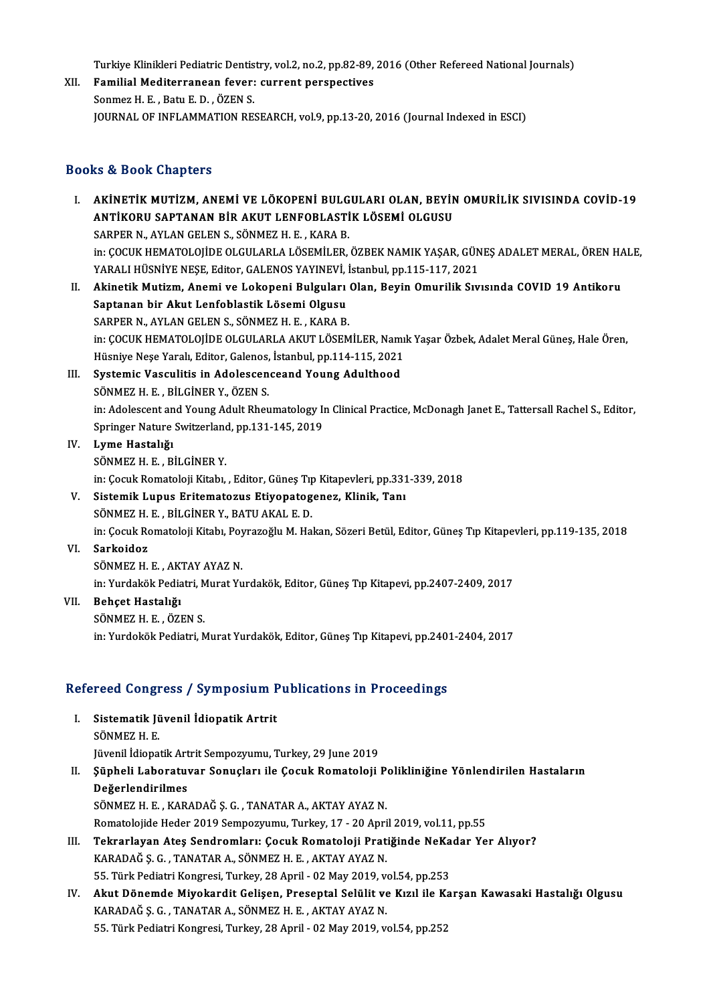Turkiye Klinikleri Pediatric Dentistry, vol.2, no.2, pp.82-89, 2016 (Other Refereed National Journals)<br>Femilial Mediterranean fouery surrent perspectives

XII. Familial Mediterranean fever: current perspectives<br>Sonmez H. E., Batu E. D., ÖZEN S. Turkiye Klinikleri Pediatric Dentis<br>Familial Mediterranean fever:<br>Sonmez H. E. , Batu E. D. , ÖZEN S.<br>JOUPMAL OF INELAMMATION PE JOURNAL OF INFLAMMATION RESEARCH, vol.9, pp.13-20, 2016 (Journal Indexed in ESCI)

### Books&Book Chapters

- OOks & Book Chapters<br>I. AKİNETİK MUTİZM, ANEMİ VE LÖKOPENİ BULGULARI OLAN, BEYİN OMURİLİK SIVISINDA COVİD-19<br>ANTİKOPU SAPTANAN PİP AKUT LENEOPLASTİK LÖSEMİ OLGUSU LƏ 2001 ƏMAPCID<br>AKİNETİK MUTİZM, ANEMİ VE LÖKOPENİ BULGULARI OLAN, BEYİN<br>ANTİKORU SAPTANAN BİR AKUT LENFOBLASTİK LÖSEMİ OLGUSU<br>SARRER N. AYLAN CELEN S. SÖNMEZ H. E., KARA R AKİNETİK MUTİZM, ANEMİ VE LÖKOPENİ BULG<br>ANTİKORU SAPTANAN BİR AKUT LENFOBLASTİ<br>SARPER N., AYLAN GELEN S., SÖNMEZ H. E. , KARA B.<br>in: COCUK HEMATOLOUDE OLCULARLA LÖSEMÜ ER ANTİKORU SAPTANAN BİR AKUT LENFOBLASTİK LÖSEMİ OLGUSU<br>SARPER N., AYLAN GELEN S., SÖNMEZ H. E. , KARA B.<br>in: ÇOCUK HEMATOLOJİDE OLGULARLA LÖSEMİLER, ÖZBEK NAMIK YAŞAR, GÜNEŞ ADALET MERAL, ÖREN HALE,<br>YARALI HÜSNİYE NESE, Edi SARPER N., AYLAN GELEN S., SÖNMEZ H. E. , KARA B.<br>in: ÇOCUK HEMATOLOJİDE OLGULARLA LÖSEMİLER, ÖZBEK NAMIK YAŞAR, GÜN<br>YARALI HÜSNİYE NEŞE, Editor, GALENOS YAYINEVİ, İstanbul, pp.115-117, 2021<br>Akinetik Mutizm, Anemi ve Leken YARALI HÜSNİYE NEŞE, Editor, GALENOS YAYINEVİ, İstanbul, pp.115-117, 2021
- II. Akinetik Mutizm, Anemi ve Lokopeni Bulguları Olan, Beyin Omurilik Sıvısında COVID 19 Antikoru<br>Saptanan bir Akut Lenfoblastik Lösemi Olgusu SARPER N., AYLAN GELEN S., SÖNMEZ H. E., KARA B. Saptanan bir Akut Lenfoblastik Lösemi Olgusu<br>SARPER N., AYLAN GELEN S., SÖNMEZ H. E. , KARA B.<br>in: ÇOCUK HEMATOLOJİDE OLGULARLA AKUT LÖSEMİLER, Namık Yaşar Özbek, Adalet Meral Güneş, Hale Ören,<br>Hügniye Nese Yaralı Editan C SARPER N., AYLAN GELEN S., SÖNMEZ H. E. , KARA B.<br>in: ÇOCUK HEMATOLOJİDE OLGULARLA AKUT LÖSEMİLER, Namı<br>Hüsniye Neşe Yaralı, Editor, Galenos, İstanbul, pp.114-115, 2021<br>Systamia Vasaylitis in Adelessenseand Young Adulthood in: ÇOCUK HEMATOLOJİDE OLGULARLA AKUT LÖSEMİLER, Nam<br>Hüsniye Neşe Yaralı, Editor, Galenos, İstanbul, pp.114-115, 2021<br>III. Systemic Vasculitis in Adolescenceand Young Adulthood<br>SÖNMEZ H.E., BİLCİNER V. ÖZEN S
- Hüsniye Neşe Yaralı, Editor, Galenos, İstanbul, pp.114-115, 2021<br>III. Systemic Vasculitis in Adolescenceand Young Adulthood<br>SÖNMEZ H. E. , BİLGİNER Y., ÖZEN S. Systemic Vasculitis in Adolescenceand Young Adulthood<br>SÖNMEZ H. E. , BİLGİNER Y., ÖZEN S.<br>in: Adolescent and Young Adult Rheumatology In Clinical Practice, McDonagh Janet E., Tattersall Rachel S., Editor, SÖNMEZ H. E. , BİLGİNER Y., ÖZEN S.<br>in: Adolescent and Young Adult Rheumatology II<br>Springer Nature Switzerland, pp.131-145, 2019<br>Lyme Hesteliği Springer Nature Switzerland, pp.131-145, 2019
- IV. Lyme Hastalığı Lyme Hastalığı<br>SÖNMEZ H. E. , BİLGİNER Y.<br>in: Çocuk Romatoloji Kitabı, , Editor, Güneş Tıp Kitapevleri, pp.331-339, 2018<br>Sistemik Lunus Enitemategus Etiyenetegeneg, Klinik, Tanı SÖNMEZ H. E. , BİLGİNER Y.<br>in: Çocuk Romatoloji Kitabı, , Editor, Güneş Tıp Kitapevleri, pp.331<br>V. Sistemik Lupus Eritematozus Etiyopatogenez, Klinik, Tanı<br>SÖNMEZ U. E. BİLGİNER Y. BATLAKALE D.
- V. Sistemik Lupus Eritematozus Etiyopatogenez, Klinik, Tanı SÖNMEZ H. E., BİLGİNERY., BATU AKAL E. D.

in:ÇocukRomatolojiKitabı,PoyrazoğluM.Hakan,SözeriBetül,Editor,GüneşTıpKitapevleri,pp.119-135,2018

VI. Sarkoidoz

SÖNMEZHE, AKTAYAYAZN.

Sarkoidoz<br>SÖNMEZ H. E. , AKTAY AYAZ N.<br>in: Yurdakök Pediatri, Murat Yurdakök, Editor, Güneş Tıp Kitapevi, pp.2407-2409, 2017<br>Roheet Hastalığı

VII. Behçet Hastalığı<br>SÖNMEZ H. E., ÖZEN S.

in: Yurdakök Pediatri, M<br><mark>Behçet Hastalığı</mark><br>SÖNMEZ H. E. , ÖZEN S.<br>in: Yurdekök Pediatri, M in: Yurdokök Pediatri, Murat Yurdakök, Editor, Güneş Tıp Kitapevi, pp.2401-2404, 2017

# m: ruraokok Pealatri, Murat ruraakok, Editor, Guneş Tip Kitapevi, pp.240.<br>Refereed Congress / Symposium Publications in Proceedings

efereed Congress / Symposium F<br>I. Sistematik Jüvenil İdiopatik Artrit<br>SÖNMEZ U E I. Sistematik Jüvenil İdiopatik Artrit<br>SÖNMEZH.E. Jüvenil İdiopatik Artrit Sempozyumu, Turkey, 29 June 2019 SÖNMEZ H. E.<br>Jüvenil İdiopatik Artrit Sempozyumu, Turkey, 29 June 2019<br>II. Şüpheli Laboratuvar Sonuçları ile Çocuk Romatoloji Polikliniğine Yönlendirilen Hastaların<br>Değerlendirilmes Jüvenil İdiopatik Art<br>Şüpheli Laboratuv<br>Değerlendirilmes<br>SÖNME7 H E - KAP Şüpheli Laboratuvar Sonuçları ile Çocuk Romatoloji P<br>Değerlendirilmes<br>SÖNMEZ H. E. , KARADAĞ Ş. G. , TANATAR A., AKTAY AYAZ N.<br>Bomatolojide Hoder 2019 Semnewwww. Turkey 17 - 20 Anri Değerlendirilmes<br>SÖNMEZ H. E. , KARADAĞ Ş. G. , TANATAR A., AKTAY AYAZ N.<br>Romatolojide Heder 2019 Sempozyumu, Turkey, 17 - 20 April 2019, vol.11, pp.55 SÖNMEZ H. E. , KARADAĞ Ş. G. , TANATAR A., AKTAY AYAZ N.<br>Romatolojide Heder 2019 Sempozyumu, Turkey, 17 - 20 April 2019, vol.11, pp.55<br>III. Tekrarlayan Ateş Sendromları: Çocuk Romatoloji Pratiğinde NeKadar Yer Alıyor?<br> Romatolojide Heder 2019 Sempozyumu, Turkey, 17 - 20 Apri<br>Tekrarlayan Ateş Sendromları: Çocuk Romatoloji Prat<br>KARADAĞ Ş. G. , TANATAR A., SÖNMEZ H. E. , AKTAY AYAZ N.<br>EE. Türk Pediatri Kongresi Turkey, 29 April - 03 Mey 201 Tekrarlayan Ateş Sendromları: Çocuk Romatoloji Pratiğinde NeKa<br>KARADAĞ Ş. G. , TANATAR A., SÖNMEZ H. E. , AKTAY AYAZ N.<br>55. Türk Pediatri Kongresi, Turkey, 28 April - 02 May 2019, vol.54, pp.253<br>Akut Dönemde Mivekandit Cel

KARADAĞ Ş. G. , TANATAR A., SÖNMEZ H. E. , AKTAY AYAZ N.<br>55. Türk Pediatri Kongresi, Turkey, 28 April - 02 May 2019, vol.54, pp.253<br>IV. Akut Dönemde Miyokardit Gelişen, Preseptal Selülit ve Kızıl ile Karşan Kawasaki Ha 55. Türk Pediatri Kongresi, Turkey, 28 April - 02 May 2019, v<br><mark>Akut Dönemde Miyokardit Gelişen, Preseptal Selülit ve</mark><br>KARADAĞ Ş. G. , TANATAR A., SÖNMEZ H. E. , AKTAY AYAZ N.<br>55. Türk Pediatri Kongresi, Turkey, 28 April - Akut Dönemde Miyokardit Gelişen, Preseptal Selülit ve Kızıl ile K:<br>KARADAĞ Ş. G. , TANATAR A., SÖNMEZ H. E. , AKTAY AYAZ N.<br>55. Türk Pediatri Kongresi, Turkey, 28 April - 02 May 2019, vol.54, pp.252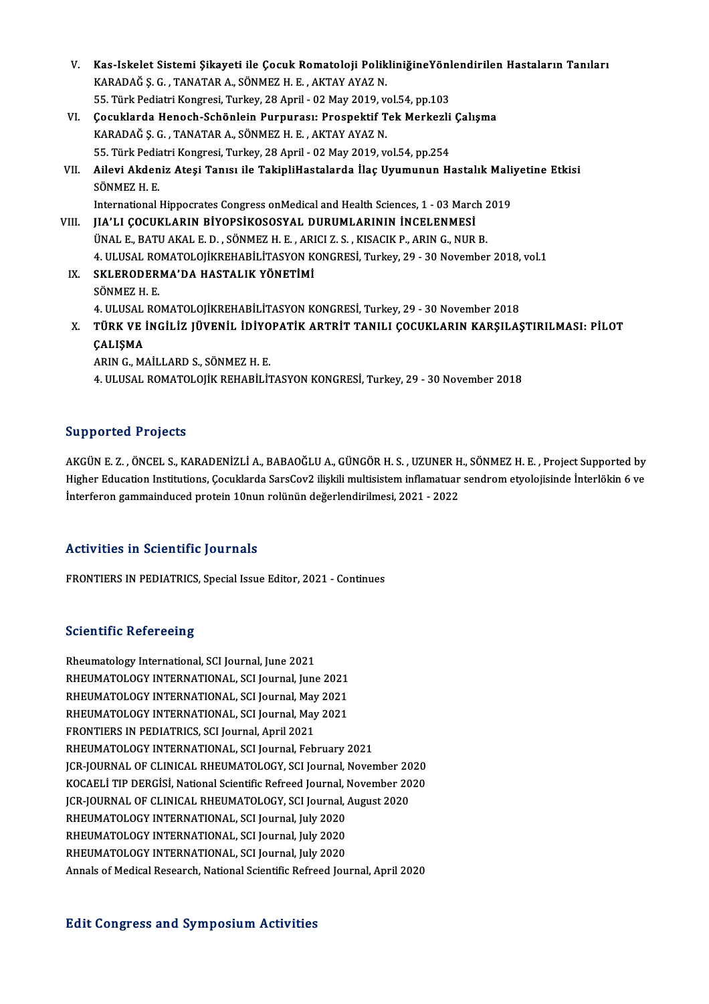| V.    | Kas-Iskelet Sistemi Şikayeti ile Çocuk Romatoloji PolikliniğineYönlendirilen Hastaların Tanıları |
|-------|--------------------------------------------------------------------------------------------------|
|       | KARADAĞ Ş. G., TANATAR A., SÖNMEZ H. E., AKTAY AYAZ N.                                           |
|       | 55. Türk Pediatri Kongresi, Turkey, 28 April - 02 May 2019, vol.54, pp.103                       |
| VI.   | Çocuklarda Henoch-Schönlein Purpurası: Prospektif Tek Merkezli Çalışma                           |
|       | KARADAĞ Ş. G., TANATAR A., SÖNMEZ H. E., AKTAY AYAZ N.                                           |
|       | 55. Türk Pediatri Kongresi, Turkey, 28 April - 02 May 2019, vol.54, pp.254                       |
| VII.  | Ailevi Akdeniz Ateşi Tanısı ile TakipliHastalarda İlaç Uyumunun Hastalık Maliyetine Etkisi       |
|       | SÖNMEZ H. E.                                                                                     |
|       | International Hippocrates Congress on Medical and Health Sciences, 1 - 03 March 2019             |
| VIII. | JIA'LI ÇOCUKLARIN BİYOPSİKOSOSYAL DURUMLARININ İNCELENMESİ                                       |
|       | ÜNAL E., BATU AKAL E. D., SÖNMEZ H. E., ARICI Z. S., KISACIK P., ARIN G., NUR B.                 |
|       | 4. ULUSAL ROMATOLOJİKREHABİLİTASYON KONGRESİ, Turkey, 29 - 30 November 2018, vol.1               |
| IX.   | SKLERODERMA'DA HASTALIK YÖNETİMİ                                                                 |
|       | SÖNMEZ H E                                                                                       |
|       | 4. ULUSAL ROMATOLOJİKREHABİLİTASYON KONGRESİ, Turkey, 29 - 30 November 2018                      |
| X.    | TÜRK VE İNGİLİZ JÜVENİL İDİYOPATİK ARTRİT TANILI ÇOCUKLARIN KARŞILAŞTIRILMASI: PİLOT             |
|       | ÇALIŞMA                                                                                          |
|       | ARIN G., MAİLLARD S., SÖNMEZ H. E.                                                               |
|       | 4. ULUSAL ROMATOLOJİK REHABİLİTASYON KONGRESİ, Turkey, 29 - 30 November 2018                     |
|       |                                                                                                  |

### Supported Projects

Supported Projects<br>AKGÜN E. Z. , ÖNCEL S., KARADENİZLİ A., BABAOĞLU A., GÜNGÖR H. S. , UZUNER H., SÖNMEZ H. E. , Project Supported by<br>Hisbor Education Institutions Cosuldanda SarsCov? ilişkili multisistem inflamatuar sandr Bupportedi Frojects<br>AKGÜN E. Z. , ÖNCEL S., KARADENİZLİ A., BABAOĞLU A., GÜNGÖR H. S. , UZUNER H., SÖNMEZ H. E. , Project Supported by<br>Higher Education Institutions, Çocuklarda SarsCov2 ilişkili multisistem inflamatuar sen AKGÜN E. Z. , ÖNCEL S., KARADENİZLİ A., BABAOĞLU A., GÜNGÖR H. S. , UZUNER H<br>Higher Education Institutions, Çocuklarda SarsCov2 ilişkili multisistem inflamatuar<br>İnterferon gammainduced protein 10nun rolünün değerlendirilme Interferon gammainduced protein 10nun rolünün değerlendirilmesi, 2021 - 2022<br>Activities in Scientific Journals

FRONTIERS IN PEDIATRICS, Special Issue Editor, 2021 - Continues

### **Scientific Refereeing**

Rheumatology International, SCI Journal, June 2021 RHEUMATOLOGY INTERNATIONAL, SCI Journal, June 2021 Rheumatology International, SCI Journal, June 2021<br>RHEUMATOLOGY INTERNATIONAL, SCI Journal, June 2021<br>RHEUMATOLOGY INTERNATIONAL, SCI Journal, May 2021<br>RHEUMATOLOGY INTERNATIONAL, SCI Journal, May 2021 RHEUMATOLOGY INTERNATIONAL, SCI Journal, May 2021<br>FRONTIERS IN PEDIATRICS, SCI Journal, April 2021 RHEUMATOLOGY INTERNATIONAL, SCI Journal, May<br>RHEUMATOLOGY INTERNATIONAL, SCI Journal, May<br>FRONTIERS IN PEDIATRICS, SCI Journal, April 2021<br>BHEUMATOLOGY INTERNATIONAL, SCI Journal, Ech RHEUMATOLOGY INTERNATIONAL, SCI Journal, February 2021 JCR-JOURNALOF CLINICALRHEUMATOLOGY,SCI Journal,November 2020 KOCAELİ TIP DERGİSİ, National Scientific Refreed Journal, November 2020 JCR-JOURNAL OF CLINICAL RHEUMATOLOGY, SCI Journal, November 20<br>KOCAELI TIP DERGISI, National Scientific Refreed Journal, November 20<br>JCR-JOURNAL OF CLINICAL RHEUMATOLOGY, SCI Journal, August 2020<br>RHEUMATOLOGY INTERNATIONAL KOCAELİ TIP DERGİSİ, National Scientific Refreed Journal, I<br>JCR-JOURNAL OF CLINICAL RHEUMATOLOGY, SCI Journal, .<br>RHEUMATOLOGY INTERNATIONAL, SCI Journal, July 2020<br>RHEUMATOLOGY INTERNATIONAL, SCI Journal, July 2020 JCR-JOURNAL OF CLINICAL RHEUMATOLOGY, SCI Journal, <mark>, ,</mark><br>RHEUMATOLOGY INTERNATIONAL, SCI Journal, July 2020<br>RHEUMATOLOGY INTERNATIONAL, SCI Journal, July 2020<br>RHEUMATOLOGY INTERNATIONAL, SCI Journal, July 2020 RHEUMATOLOGY INTERNATIONAL, SCI Journal, July 2020<br>RHEUMATOLOGY INTERNATIONAL, SCI Journal, July 2020<br>RHEUMATOLOGY INTERNATIONAL, SCI Journal, July 2020 Annals of Medical Research, National Scientific Refreed Journal, April 2020

### **Edit Congress and Symposium Activities**